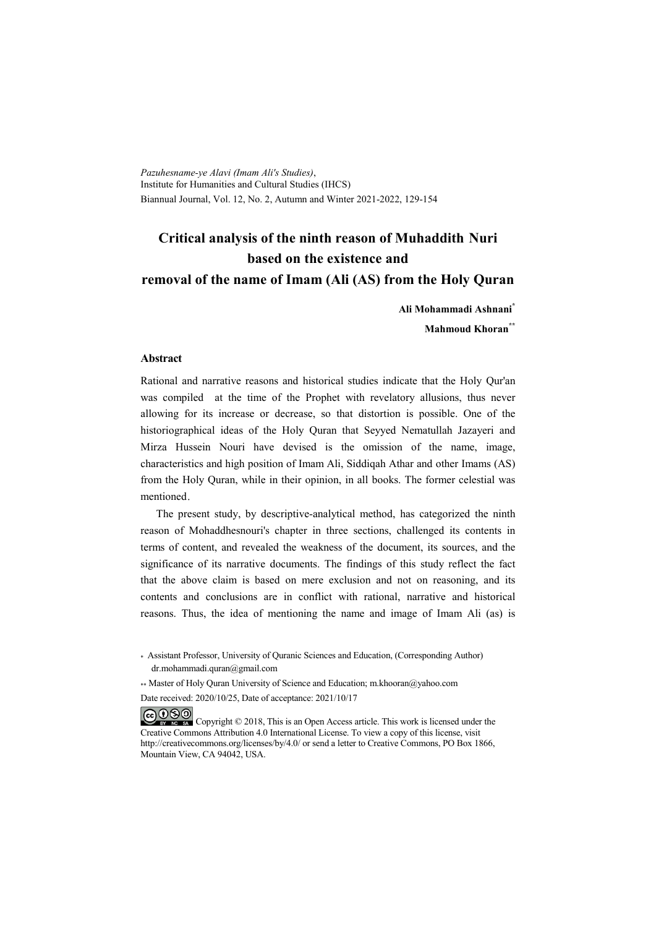*Pazuhesname-ye Alavi (Imam Ali's Studies)*, Institute for Humanities and Cultural Studies (IHCS) Biannual Journal, Vol. 12, No. 2, Autumn and Winter 2021-2022, 129-154

# **Critical analysis of the ninth reason of Muhaddith Nuri based on the existence and removal of the name of Imam (Ali (AS) from the Holy Quran**

**Ali Mohammadi Ashnani\***

**Mahmoud Khoran\*\***

#### **Abstract**

Rational and narrative reasons and historical studies indicate that the Holy Qur'an was compiled at the time of the Prophet with revelatory allusions, thus never allowing for its increase or decrease, so that distortion is possible. One of the historiographical ideas of the Holy Quran that Seyyed Nematullah Jazayeri and Mirza Hussein Nouri have devised is the omission of the name, image, characteristics and high position of Imam Ali, Siddiqah Athar and other Imams (AS) from the Holy Quran, while in their opinion, in all books. The former celestial was mentioned.

The present study, by descriptive-analytical method, has categorized the ninth reason of Mohaddhesnouri's chapter in three sections, challenged its contents in terms of content, and revealed the weakness of the document, its sources, and the significance of its narrative documents. The findings of this study reflect the fact that the above claim is based on mere exclusion and not on reasoning, and its contents and conclusions are in conflict with rational, narrative and historical reasons. Thus, the idea of mentioning the name and image of Imam Ali (as) is

\*\* Master of Holy Ouran University of Science and Education; m.khooran@yahoo.com

Date received: 2020/10/25, Date of acceptance: 2021/10/17

COOO Copyright © 2018, This is an Open Access article. This work is licensed under the Creative Commons Attribution 4.0 International License. To view a copy of this license, visit http://creativecommons.org/licenses/by/4.0/ or send a letter to Creative Commons, PO Box 1866, Mountain View, CA 94042, USA.

<sup>\*</sup> Assistant Professor, University of Quranic Sciences and Education, (Corresponding Author) dr.mohammadi.quran@gmail.com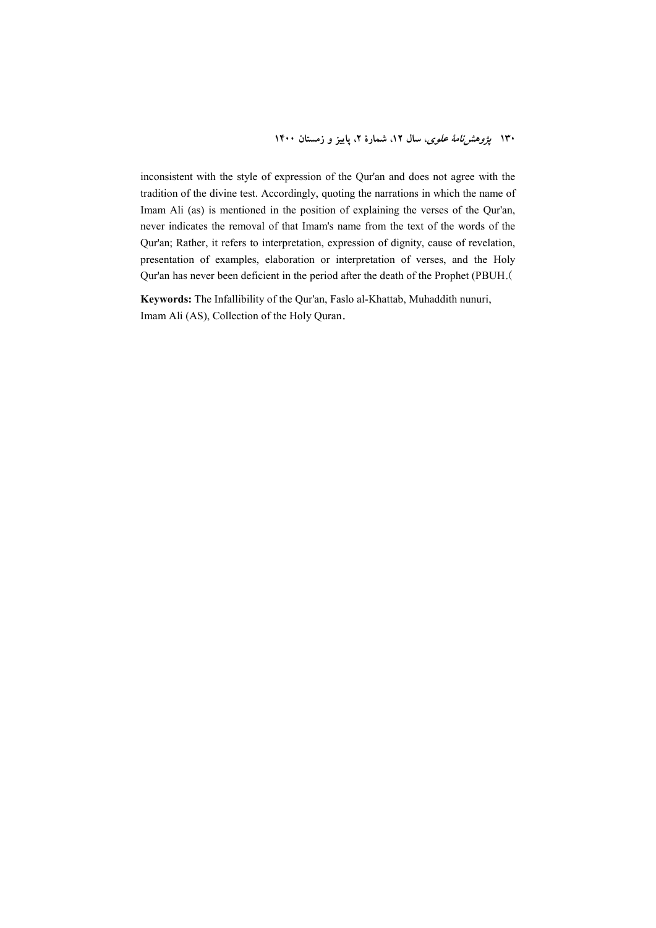inconsistent with the style of expression of the Qur'an and does not agree with the tradition of the divine test. Accordingly, quoting the narrations in which the name of Imam Ali (as) is mentioned in the position of explaining the verses of the Qur'an, never indicates the removal of that Imam's name from the text of the words of the Qur'an; Rather, it refers to interpretation, expression of dignity, cause of revelation, presentation of examples, elaboration or interpretation of verses, and the Holy Qur'an has never been deficient in the period after the death of the Prophet (PBUH.(

**Keywords:** The Infallibility of the Qur'an, Faslo al-Khattab, Muhaddith nunuri, Imam Ali (AS), Collection of the Holy Quran**.**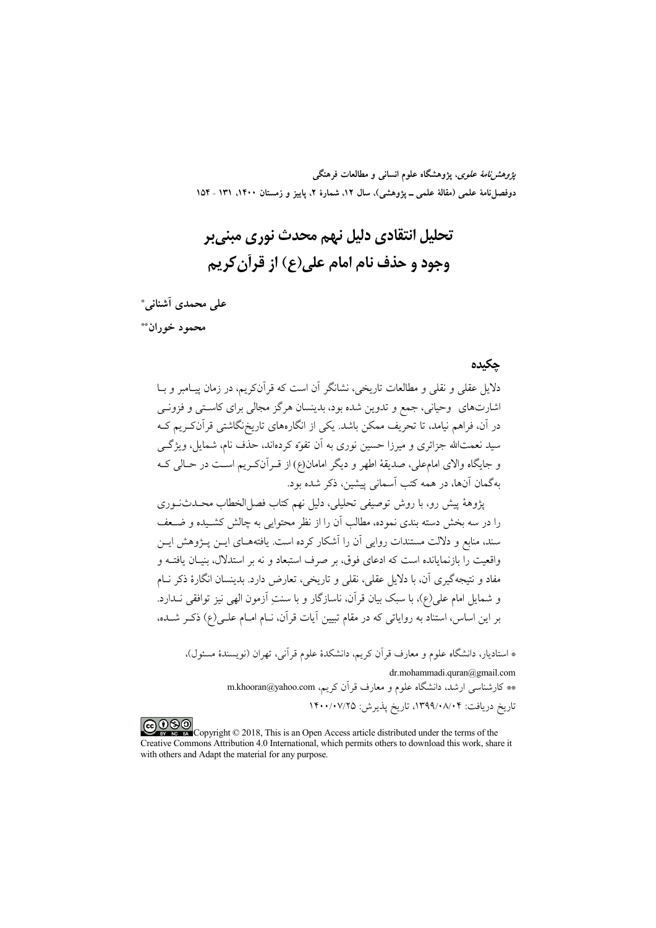*پژوهشنامهٔ علوی*، پژوهشگاه علوم انسانی و مطالعات فرهنگی دوفصلiاههٔ علمی (مقالهٔ علمی ــ پژوهشی)، سال ۱۲، شمارهٔ ۲، پاییز و زمستان ۱۴۰۰، ۱۳۱ ـ ۱۵۴

# تحليل انتقادي دليل نهم محدث نوري ميني بر وجود و حذف نام امام علي(ع) از قرآن کريم

على محمدي أشناني \* محمود خوران\*\*

#### حكىدە

دلایل عقلی و نقلی و مطالعات تاریخی، نشانگر آن است که قرآنکریم، در زمان پیـامبر و بــا .<br>اشارتهای وحیانی، جمع و تدوین شده بود، بدینسان هرگز مجالی برای کاسـتی و فزونــی در آن، فراهم نیامد، تا تحریف ممکن باشد. یکی از انگارههای تاریخنگاشتی قرآنکـریم کـه سید نعمتالله جزائری و میرزا حسین نوری به اَن تفوّه کردهاند، حذف نام، شمایل، ویژگــی و جايگاه والاي امامءلي، صديقهٔ اطهر و ديگر امامان(ع) از قــر آنکــريـم اســت در حــالي کــه بهگمان آنها، در همه کتب اّسمانی پیشین، ذکر شده بود.

يژوههٔ پيش رو، با روش توصيفي تحليلي، دليل نهم كتاب فصل(لخطاب محـدثـنوري را در سه بخش دسته بندی نموده، مطالب آن را از نظر محتوایی به چالش کشـیده و ضـعف سند، منابع و دلالت مستندات روایی آن را آشکار کرده است. یافتههـای ایــن پــژوهش ایــن واقعیت را بازنمایانده است که ادعای فوق، بر صرف استبعاد و نه بر استدلال، بنیـان یافتــه و مفاد و نتیجهگیری آن، با دلایل عقلی، نقلی و تاریخی، تعارض دارد. بدینسان انگارهٔ ذکر نـام و شمایل امام علی(ع)، با سبک بیان قرآن، ناسازگار و با سنتِ أزمون الهی نیز توافقی نــدارد. بر این اساس، استناد به روایاتی که در مقام تبیین آیات قرآن، نـام امـام علـی(ع) ذکـر شــده،

\* استادیار، دانشگاه علوم و معارف قرآن کریم، دانشکدهٔ علوم قرآنی، تهران (نویسندهٔ مسئول)،

dr.mohammadi.quran@gmail.com \*\* کارشناسی ارشد، دانشگاه علوم و معارف قر آن کریم، m.khooran@yahoo.com تاريخ دريافت: ۰۸/۰۴/۱۳۹۹/۰۸/۰۴، تاريخ پذيرش: ۱۴۰۰/۰۷/۲۵

COOO www.com/Copyright © 2018, This is an Open Access article distributed under the terms of the Creative Commons Attribution 4.0 International, which permits others to download this work, share it with others and Adapt the material for any purpose.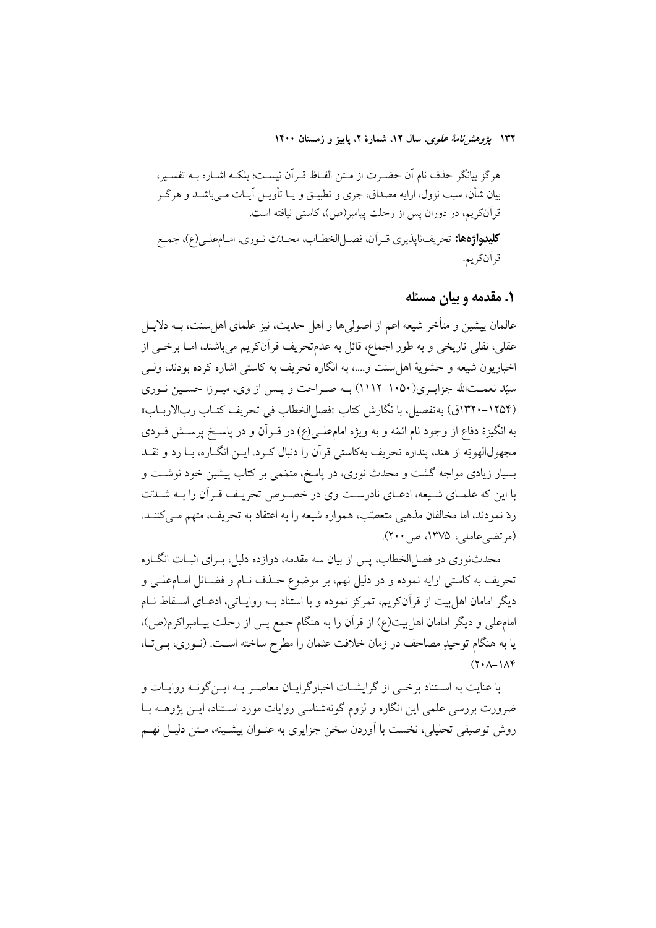۱۳۲ پ*ژوهشرنامهٔ علوی*، سال ۱۲، شمارهٔ ۲، پاییز و زمستان ۱۴۰۰

هرگز بیانگر حذف نام آن حضـرت از مـتن الفـاظ قـرآن نیسـت؛ بلکـه اشـاره بــه تفسـیر، بیان شأن، سبب نزول، ارایه مصداق، جری و تطبیــق و یــا تأویــل آیــات مــیباشــد و هرگــز قرآنکریم، در دوران پس از رحلت پیامبر(ص)، کاستی نیافته است. كليدواژهها: تحريف نايذيري قـر أن، فصـل الخطـاب، محـدّث نـوري، امـامعلـي(ع)، جمـع قر اَنكريم.

۱. مقدمه و بیان مسئله

عالمان پیشین و متأخر شیعه اعم از اصولی ها و اهل حدیث، نیز علمای اهل سنت، بــه دلایــل عقلي، نقلي تاريخي و به طور اجماع، قائل به عدمتحريف قرآنکريم مي باشند، امــا برخــي از اخباریون شیعه و حشویهٔ اهل سنت و….، به انگاره تحریف به کاستی اشاره کرده بودند، ولـَّـی سیّد نعمـتالله جزایـري(١٠٥٠–١١١٢) بـه صـراحت و پـس از وي، ميـرزا حسـين نـوري (١٢٥۴-١٣٢٠ق) به تفصيل، با نگارش كتاب «فصل الخطاب في تحريف كتـاب ربالاربــاب» به انگیزهٔ دفاع از وجود نام ائمّه و به ویژه امامعلـی(ع) در قـرآن و در پاسـخ پرسـش فـردی مجهول|لهويّه از هند، پنداره تحريف بهكاستي قرآن را دنبال كـرد. ايــن انگــاره، بــا رد و نقــد بسیار زیادی مواجه گشت و محدث نوری، در پاسخ، متمّمی بر کتاب پیشین خود نوشـت و با این که علمـای شـیعه، ادعـای نادرسـت وی در خصـوص تحریـف قـرآن را بـه شـلـت ردّ نمودند، اما مخالفان مذهبی متعصّب، همواره شیعه را به اعتقاد به تحریف، متهم مــیکننــد. (مرتضى عاملى، ١٣٧۵، ص ٢٠٠).

محدثنوری در فصل|لخطاب، پس از بیان سه مقدمه، دوازده دلیل، بـرای اثبــات انگــاره تحريف به كاستي ارايه نموده و در دليل نهم، بر موضوع حـذف نــام و فضــائل امــام،طــي و دیگر امامان اهل بیت از قرآنکریم، تمرکز نموده و با استناد بــه روایــاتی، ادعــای اســقاط نــام امامعلی و دیگر امامان اهل بیت(ع) از قرآن را به هنگام جمع پس از رحلت پیـامبراکرم(ص)، يا به هنگام توحيدِ مصاحف در زمان خلافت عثمان را مطرح ساخته اسـت. (نـوري، بـيتـا،  $(Y \cdot \Lambda - \Lambda Y)$ 

با عنایت به اسـتناد برخــي از گرايشــات اخبارگرايــان معاصـر بــه ايــن گونــه روايــات و ضرورت بررسی علمی این انگاره و لزوم گونهشناسی روایات مورد اسـتناد، ایــن پژوهــه بــا روش توصیفی تحلیلی، نخست با اَوردن سخن جزایری به عنـوان پیشـینه، مـتن دلیـل نهـم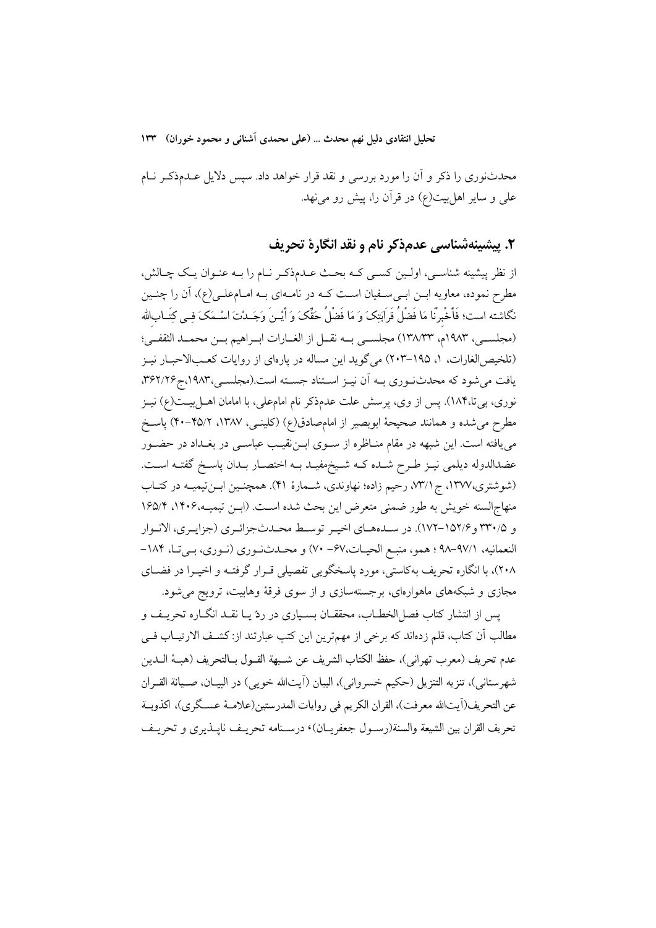تحليل انتقادي دليل نهم محدث … (علمي محمدي اَشناني و محمود خوران) ١٣٣

محدثنوری را ذکر و آن را مورد بررسی و نقد قرار خواهد داد. سپس دلایل عـدمذکـر نــام علمی و سایر اهل بیت(ع) در قرآن را، پیش رو می نهد.

۲. پیشینهشناسی عدمذکر نام و نقد انگارهٔ تحریف

از نظر پیشینه شناسبی، اولـین کسـی کـه بحـث عـدم(کـر نـام را بـه عنـوان یـک چـالش، مطرح نموده، معاویه ابــن ابــیســفیان اســت کــه در نامــهای بــه امــام،علــی(ع)، آن را چنــین نگاشته است؛ فَأَخْبرنَّا مَا فَضْلُ قَرَابَتِکَ وَ مَا فَضْلُ حَقِّکَ وَ أَيْـنَ وَجَــدْتَ اسْــمَکَ فِــى كِتَــابالله (مجلسـي، ١٩٨٣م، ١٣٨/٣٣) مجلسـي بــه نقــل از الغــارات ابــراهيم بــن محمــد الثقفــي؛ (تلخيص|لغارات، ١، ١٩٥–٢٠٣) مي گويد اين مساله در يارهاي از روايات كعـبالاحبـار نيـز یافت می شود که محدث نوری بـه اَن نیــز اســتناد جســته است.(مجلســی،۱۹۸۳،ج۳۶۲/۲۶. نوری، بی تا،۱۸۴). پس از وی، پرسش علت عدمذکر نام امامعلی، با امامان اهـل بیــت(ع) نیــز مطرح می شده و همانند صحیحهٔ ابوبصیر از امامصادق(ع) (کلینــی، ۱۳۸۷، ۴۵/۲–۴۰) پاســخ می یافته است. این شبهه در مقام منـاظره از ســوی ابــنقیــب عباســی در بغــداد در حضــور عضدالدوله دیلمی نیـز طـرح شـده کـه شـیخمفیـد بـه اختصـار بـدان پاسـخ گفتـه اسـت. (شوشتري،١٣٧٧، ج (٣/١، رحيم زاده؛ نهاوندي، شـمارة ۴۱). همچنـين ابـنتيميـه در كتـاب منهاج السنه خويش به طور ضمني متعرض اين بحث شده است. (ابن تيميـه،١۴٠۶، ١۶۵/۴ و ٣٣٠/٥ و١٥٢/٣-١٧٢). در سـدههـاي اخيـر توسـط محـدثجزائـري (جزايـري، الانـوار النعمانيه، ٩٧/١-٩٨ ؛ همو، منبع الحيات،۶۷- ٧٠) و محـدثنوري (نـوري، بـيتـا، ١٨۴-۲۰۸)، با انگاره تحریف بهکاستی، مورد پاسخگویی تفصیلی قـرار گرفتـه و اخیـرا در فضـای مجازی و شبکههای ماهوارمای، برجستهسازی و از سوی فرقهٔ وهابیت، ترویج می شود.

يس از انتشار كتاب فصل|لخطــاب، محققــان بســياري در ردّ يــا نقــد انگــاره تحريــف و مطالب اّن کتاب، قلم زدهاند که برخی از مهمترین این کتب عبارتند از: کشـف الارتیــاب فــی عدم تحريف (معرب تهراني)، حفظ الكتاب الشريف عن شـبهة القــول بــالتحريف (هبــهٔ الــدين شهرستاني)، تنزيه التنزيل (حكيم خسرواني)، البيان (آيتالله خويبي) در البيــان، صــيانة القــران عن التحريف(آيتالله معرفت)، القران الكريم في روايات المدرستين(علامــهٔ عســگري)، اكذوبــة تحريف القران بين الشيعة والسنة(رسـول جعفريــان)، درسـنامه تحريـف نايــذيري و تحريـف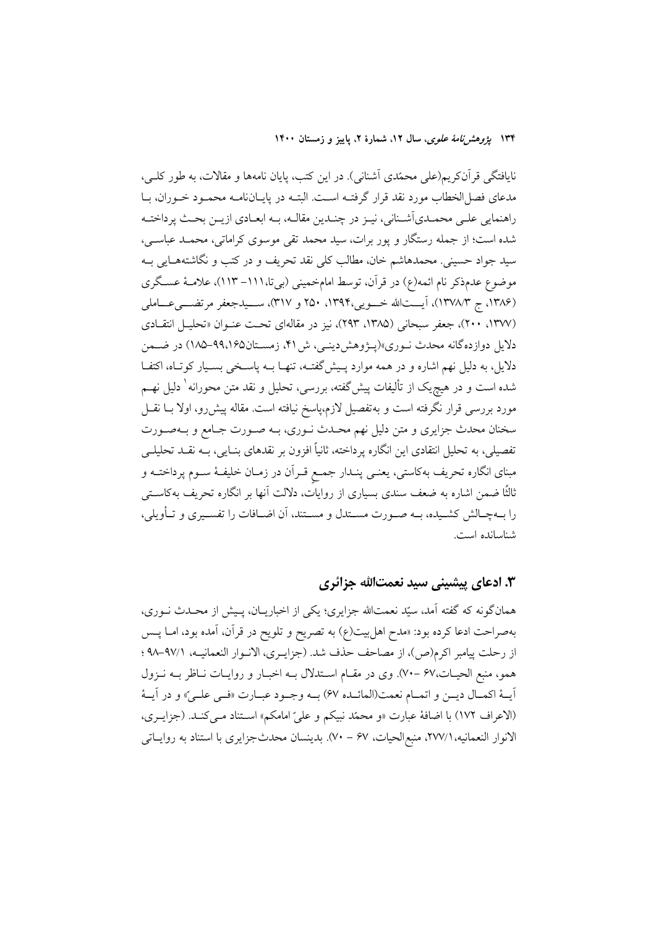۱۳۴ پژ*وهشرنامهٔ علوی*، سال ۱۲، شمارهٔ ۲، پاییز و زمستان ۱۴۰۰

نایافتگی قرآنکریم(علی محمّدی آشنانی). در این کتب، پایان نامهها و مقالات، به طور کلـی، مدعاى فصل الخطاب مورد نقد قرار گرفتــه اســت. البتــه در پايــانiامــه محمــود خــوران، بــا راهنمایی علـی محمـدي اَشـناني، نيـز در چنـدين مقالـه، بـه ابعـادي ازيـن بحـث پرداختـه شده است؛ از جمله رستگار و پور برات، سید محمد تقی موسوی کراماتی، محمـد عباســی، سيد جواد حسيني. محمدهاشم خان، مطالب كلي نقد تحريف و در كتب و نگاشتههـايي بــه موضوع عدمذکر نام ائمه(ع) در قرآن، توسط امامخمینی (بیتا،١١١- ١١٣)، علامـهٔ عسـگری (۱۳۸۶، ج ۱۳۷۸/۳)، آیستالله خسویی،۱۳۹۴، ۲۵۰ و ۳۱۷)، سسیدجعفر مرتضسی عساملی (۱۳۷۷، ۲۰۰)، جعفر سبحانی (۱۳۸۵، ۲۹۳)، نیز در مقالهای تحت عنوان «تحلیل انتقادی دلایل دوازده گانه محدث نـوري»(پـژوهش دينـي، ش ۴۱، زمسـتان۹۹،۱۶۵–۱۸۵) در ضـمن دلایل، به دلیل نهم اشاره و در همه موارد پـیشگفتـه، تنهـا بــه پاسـخی بسـیار کوتـاه، اکتفـا شده است و در هیچٖیک از تألیفات پیشگفته، بررسی، تحلیل و نقد متن محورانه ٰ دلیل نهــم مورد بررسی قرار نگرفته است و بهتفصیل لازم،پاسخ نیافته است. مقاله پیش رو، اولا بــا نقــل سخنان محدث جزایری و متن دلیل نهم محـدث نــوری، بــه صــورت جــامع و بــهصــورت تفصیلی، به تحلیل انتقادی این انگاره پرداخته، ثانیاً افزون بر نقدهای بنـایی، بــه نقــد تحلیلــی مبنای انگاره تحریف بهکاستی، یعنــی پنــدار جمــع قــراَن در زمــان خلیفــهٔ ســوم پرداختــه و ثالثًا ضمن اشاره به ضعف سندی بسیاری از روایات، دلالت انها بر انگاره تحریف بهکاسـتی را بــهچــالش كشــيده، بــه صــورت مســتدل و مســتند، آن اضــافات را تفســيري و تــأويلي، شناسانده است.

#### ۳. ادعای پیشینی سید نعمتالله جزائری

همانگونه که گفته آمد، سیّد نعمتالله جزایری؛ یکی از اخباریــان، پـیش از محـدث نــوری، بهصراحت ادعا كرده بود: «مدح اهلبيت(ع) به تصريح و تلويح در قرآن، آمده بود، امــا پــس از رحلت پیامبر اکرم(ص)، از مصاحف حذف شد. (جزایـری، الانـوار النعمانیـه، ٩٧/١-٩٨ ؛ همو، منبع الحيـات،۶۷ –۷۰). وي در مقـام اسـتدلال بـه اخبـار و روايـات نـاظر بـه نـزول آيــهٔ اكمــال ديــن و اتمــام نعمت(المائــده ۶۷) بــه وجــود عبــارت «فــي علــيّ» و در آيــهٔ (الاعراف ١٧٢) با اضافة عبارت «و محمّد نبيكم و عليّ امامكم» استناد مـ يكنـد. (جزايـري، الانوار النعمانيه، ٢٧٧/١، منبع|لحيات، ۶۷ – ٧٠). بدينسان محدثجزايري با استناد به روايــاتي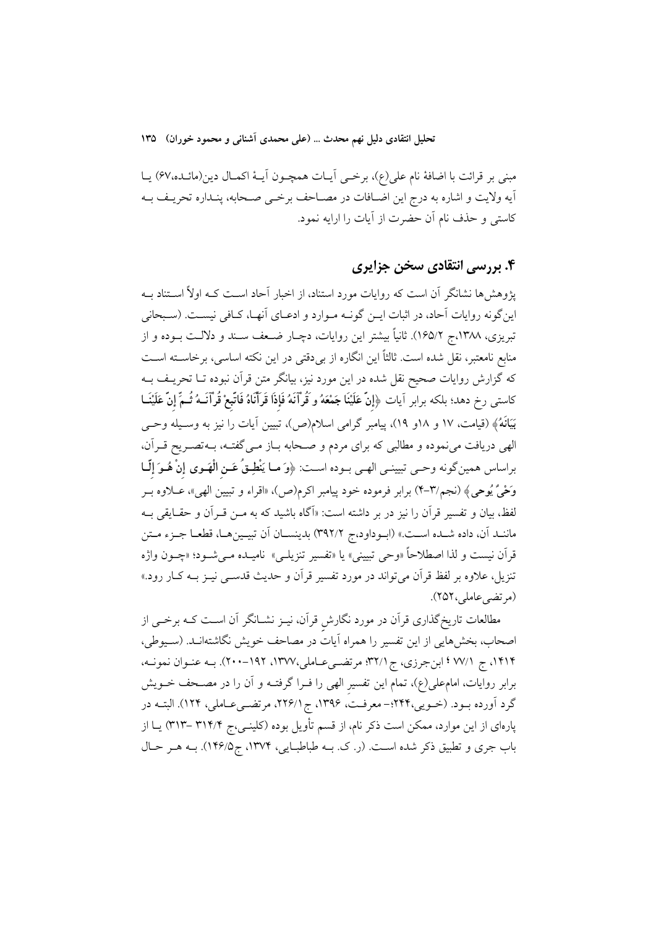تحلیل انتقادی دلیل نهم محدث … (علمی محمدی اَشنانی و محمود خوران) ۱۳۵

مبني بر قرائت با اضافة نام على(ع)، برخمي أيـات همچـون أيــهٔ اكمـال دين(مائــده،۶۷) يــا أيه ولايت و اشاره به درج اين اضـافات در مصـاحف برخـي صـحابه، ينـداره تحريـف بــه كاستي و حذف نام أن حضرت از أيات را ارايه نمود.

### ۴. بررسی انتقادی سخن جزایری

پژوهش ها نشانگر آن است که روایات مورد استناد، از اخبار آحاد اسـت کــه اولاً اســتناد بــه این گونه روایات آحاد، در اثبات ایـن گونـه مـوارد و ادعـای آنهـا، كـافی نیسـت. (سـبحانی تبریزی، ۱۳۸۸،ج ۱۶۵/۲). ثانیاً بیشتر این روایات، دچـار ضـعف سـند و دلالـت بــوده و از منابع نامعتبر، نقل شده است. ثالثاً این انگاره از بی دقتی در این نکته اساسی، برخاسـته اسـت که گزارش روایات صحیح نقل شده در این مورد نیز، بیانگر متن قرآن نبوده تــا تحریــف بــه كاستى رخ دهد؛ بلكه برابر اَيات ﴿إِنَّ عَلَيْنَا جَمْعَهُ و قُرْآنَهُ فَإِذَا قَرَأَنَاهُ فَاتَّبِعْ قُرْآنَــهُ ثُــمِّ إِنَّ عَلَيْنَــا بَيَانَهُ﴾ (قيامت، ١٧ و ١٨و ١٩)، پيامبر گرامي اسلام(ص)، تبيين أيات را نيز به وسـيله وحـي الهی دریافت می نموده و مطالبی که برای مردم و صـحابه بـاز مـی گفتـه، بـهتصـریح قـراَن. براساس همينگونه وحـي تبيينـي الهـي بـوده اسـت: ﴿وَ مـا يَنْطِـقُ عَـنِ الْهَـوِي إِنْ هُـوَ إِلَّــا وَحْيٌ يُوحِيُّ لِمَنْ (نجم/٣-۴) برابر فرموده خود پيامبر اكرم(ص)، «اقراء و تبيين الهي»، عبلاوه ببر لفظ، بيان و تفسير قرآن را نيز در بر داشته است: «اَگاه باشيد كه به مــن قــراَن و حقــايقى بــه ماننـد آن، داده شـده اسـت.» (ابـوداود،ج ٣٩٢/٢) بدينسـان آن تبيـينهـا، قطعـا جـزء مـتن قرآن نيست و لذا اصطلاحاً «وحي تبييني» يا «تفسير تنزيلـي» ناميــده مــيشــود؛ «چــون واژه تنزیل، علاوه بر لفظ قرآن می تواند در مورد تفسیر قرآن و حدیث قدس<sub>می</sub> نیــز بــه کــار رود.» (مرتضى عاملى، ٢٥٢).

مطالعات تاریخ گذاری قرآن در مورد نگارش قرآن، نیـز نشــانگر آن اســت کــه برخــی از اصحاب، بخشهایی از این تفسیر را همراه آیات در مصاحف خویش نگاشتهانـد. (سـیوطی، ۱۴۱۴، ج ۷۷/۱ ؛ ابنجرزي، ج ۳۲/۱؛ مرتضي عـاملي،۱۳۷۷، ۱۹۲-۲۰۰). بـه عنـوان نمونـه، برابر روایات، امامعلی(ع)، تمام این تفسیر الهی را فـرا گرفتـه و آن را در مصـحف خــویش گرد آورده بود. (خـویی،۲۴۲؛- معرفـت، ۱۳۹۶، ج ۲۲۶/۱، مرتضـیءاملی، ۱۲۴). البتـه در پارهای از این موارد، ممکن است ذکر نام، از قسم تأویل بوده (کلینــی،ج ۳۱۴/۴ –۳۱۳) یــا از باب جری و تطبیق ذکر شده است. (ر. ک. بـه طباطبـایی، ۱۳۷۴، ج۱۴۶/۵). بـه هـر حـال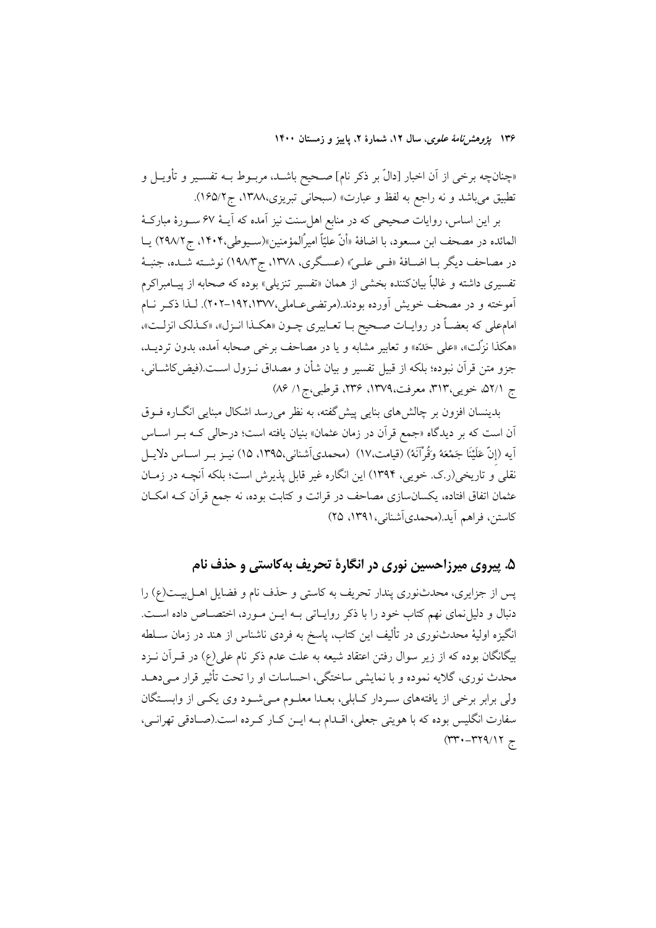۱۳۶ پژ*وهشرنامهٔ علوی*، سال ۱۲، شمارهٔ ۲، پاییز و زمستان ۱۴۰۰

«چنانچه برخی از آن اخبار [دالّ بر ذکر نام] صـحیح باشــد، مربــوط بــه تفســیر و تأویــل و تطبيق مي باشد و نه راجع به لفظ و عبارت» (سبحاني تبريزي،١٣٨٨، ج١۶۵/٢).

بر این اساس، روایات صحیحی که در منابع اهل سنت نیز آمده که آیــهٔ ۶۷ ســورهٔ مبارکــهٔ المائده در مصحف ابن مسعود، با اضافهٔ «أنّ عليّاً اميرًالمؤمنين»(سـيوطي،١۴٠۴، ج٢٩٨/٢) يــا در مصاحف ديگر بـا اضـافهٔ «فـي علـيّ» (عسـگري، ١٣٧٨، ج١٩٨/٣) نوشـته شـده، جنبـهٔ تفسیری داشته و غالباً بیانکننده بخشی از همان «تفسیر تنزیلی» بوده که صحابه از پیـامبراکرم آموخته و در مصحف خویش آورده بودند.(مرتضی عـاملی،۱۹۲،۱۳۷۷-۲۰۲). لـذا ذكـر نـام امام علي كه بعضـاً در روايـات صـحيح بـا تعـابيري چـون «هكـذا انـزل»، «كـذلك انزلـت»، «هكذا نزِّلت»، «على حَدِّه» و تعابير مشابه و يا در مصاحف برخي صحابه آمده، بدون ترديـد، جزو متن قرآن نبوده؛ بلكه از قبيل تفسير و بيان شأن و مصداق نــزول اســت.(فيض كاشــاني، ج ٥٢/١، خويبي،٣١٣، معرفت،١٣٧٩، ٢٣۶، قرطبي،ج ١/ ٨۶)

بدینسان افزون بر چالش های بنایی پیش گفته، به نظر می رسد اشکال مبنایی انگ(ه فــوق اّن است که بر دیدگاه «جمع قرآن در زمان عثمان» بنیان یافته است؛ درحالی کـه بــر اســاس آيه (إنَّ عَلَيْنَا جَمْعَهُ وَقُرْآنَهُ) (قيامت،١٧) (محمديآشناني،١٣٩٥، ١٥) نيـز بـر اســاس دلايــل نقلي و تاريخي(ر.ک. خويي، ١٣٩۴) اين انگاره غير قابل يذيرش است؛ بلکه آنچــه در زمــان عثمان اتفاق افتاده، یکسانسازی مصاحف در قرائت و کتابت بوده، نه جمع قرآن کــه امکــان كاستن، فراهم أيد.(محمدي أشناني، ١٣٩١، ٢٥)

## ۵. پیروی میرزاحسین نوری در انگارهٔ تحریف بهکاستی و حذف نام

پس از جزایری، محدثنوری پندار تحریف به کاستی و حذف نام و فضایل اهــلبیــت(ع) را دنبال و دلیل نمای نهم کتاب خود را با ذکر روایـاتی بـه ایــن مــورد، اختصــاص داده اســت. انگیزه اولیهٔ محدثنوری در تألیف این کتاب، پاسخ به فردی ناشناس از هند در زمان سـلطه بیگانگان بوده که از زیر سوال رفتن اعتقاد شیعه به علت عدم ذکر نام علی(ع) در قــرآن نــزد محدث نوري، گلايه نموده و با نمايشي ساختگي، احساسات او را تحت تأثير قرار مـيدهــد ولی برابر برخی از یافتههای سردار کبالی، بعدا معلوم میشود وی یکی از وابستگان سفارت انگلیس بوده که با هویتی جعلی، اقـدام بـه ایـن کـار کـرده است.(صـادقی تهرانـی،  $(\Upsilon \Upsilon \cdot - \Upsilon \Upsilon \Upsilon) \Upsilon$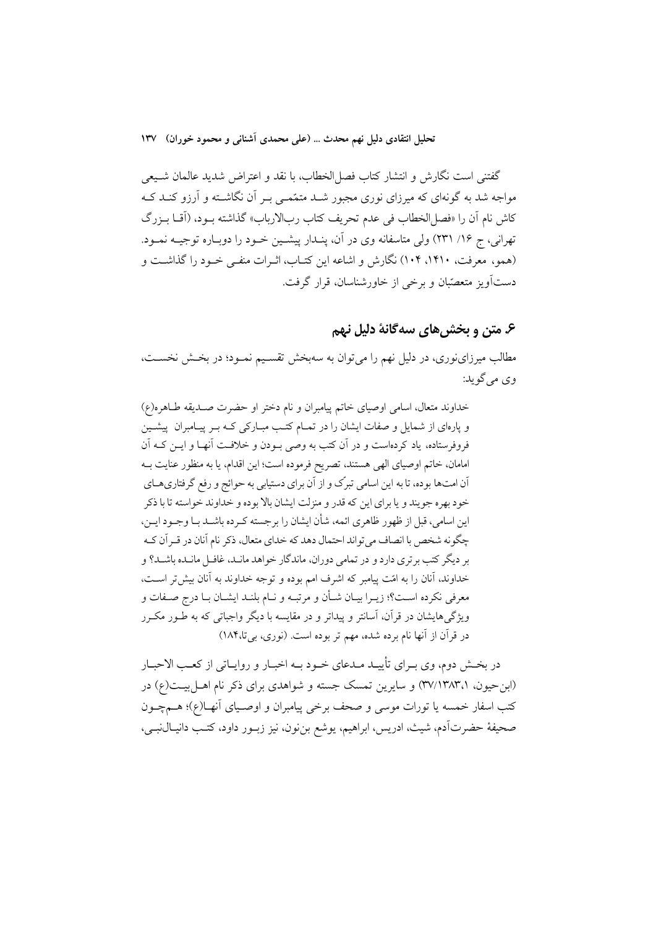تحليل انتقادي دليل نهم محدث … (علمي محمدي آشناني و محمود خوران) ١٣٧

گفتنی است نگارش و انتشار کتاب فصل|لخطاب، با نقد و اعتراض شدید عالمان شـیعی مواجه شد به گونهای که میرزای نوری مجبور شــد متمّمــی بــر آن نگاشــته و آرزو کنــد کــه كاش نام أن را «فصل|لخطاب في عدم تحريف كتاب ربالارباب» گذاشته بـود، (أقــا بـزرگ تهرانی، ج ۱۶/ ۲۳۱) ولی متاسفانه وی در آن، پنـدار پیشـین خـود را دوبـاره توجیــه نمــود. (همو، معرفت، ۱۴۱۰، ۱۰۴) نگارش و اشاعه این کتـاب، اثـرات منفـی خـود را گذاشـت و دستآویز متعصّبان و برخی از خاورشناسان، قرار گرفت.

#### ۶. متن و بخش های سه گانهٔ دلیل نهم

مطالب میرزاینوری، در دلیل نهم را می توان به سهبخش تقسـیم نمـود؛ در بخـش نخسـت، وي مي گو يد:

خداوند متعال، اسامی اوصیای خاتم پیامبران و نام دختر او حضرت صـدیقه طـاهره(ع) و پارهای از شمایل و صفات ایشان را در تمـام کتـب مبـارکی کـه بـر پیـامبران پیشـین فروفرستاده، یاد کردهاست و در آن کتب به وصی بـودن و خلافـت آنهـا و ایــن کــه آن امامان، خاتم اوصیای الهی هستند، تصریح فرموده است؛ این اقدام، یا به منظور عنایت بـه آن امتها بوده، تا به این اسامی تبرّک و از آن برای دستیابی به حوائج و رفع گرفتاریهـای خود بهره جويند و يا براي اين كه قدر و منزلت ايشان بالا بوده و خداوند خواسته تا با ذكر این اسامی، قبل از ظهور ظاهری ائمه، شأن ایشان را برجسته کـرده باشــد بـا وجـود ایــن، چگو نه شخص با انصاف می تواند احتمال دهد که خدای متعال، ذکر نام آنان در قـر آن کـه بر دیگر کتب برتری دارد و در تمامی دوران، ماندگار خواهد مانـد، غافـل مانـده باشـد؟ و خداوند، آنان را به امّت پیامبر که اشرف امم بوده و توجه خداوند به آنان بیش تر است، معرفي نكرده است؟؛ زيـرا بيـان شـأن و مرتبـه و نـام بلنـد ايشـان بـا درج صـفات و ویژگیهایشان در قرآن، آسانتر و پیداتر و در مقایسه با دیگر واجباتی که به طـور مکـرر در قرآن از آنها نام برده شده، مهم تر بوده است. (نوری، بی تا،۱۸۴)

در بخـش دوم، وي بـراي تأييـد مـدعاي خـود بـه اخبـار و روايـاتي از كعـب الاحبـار (ابن حیون، ۳۷/۱۳۸۳،۱) و سایرین تمسک جسته و شواهدی برای ذکر نام اهـل بیـت(ع) در كتب اسفار خمسه يا تورات موسى و صحف برخى پيامبران و اوصـياى آنهــا(ع)؛ هــمچــون صحيفهٔ حضرتآدم، شيث، ادريس، ابراهيم، يوشع بنِنون، نيز زبــور داود، كتـب دانيــالْنبــي،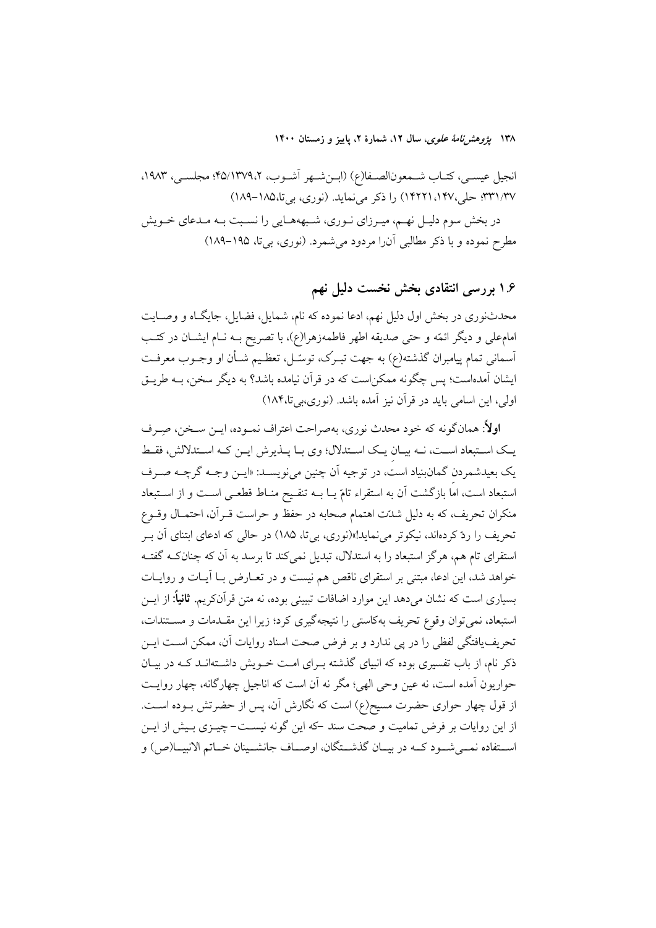۱۳۸ پژ*وهشرنامهٔ علوی*، سال ۱۲، شمارهٔ ۲، پاییز و زمستان ۱۴۰۰

انجيل عيسـى، كتـاب شـمعونالصـفا(ع) (ابــنشـهر أشــوب، ٢٥/١٣٧٩،٢؛ مجلســى، ١٩٨٣. ٣٣١/٣٧: حلي،١٤٢٢١،١٣٢٧) را ذكر مي نمايد. (نوري، بي تا،١٨٥-١٨٩)

در بخش سوم دلیـل نهـم، میـرزاي نـوري، شـبهههـايي را نسـبت بـه مـدعاي خـويش مطرح نموده و با ذکر مطالبی آن را مردود می شمرد. (نوری، بی تا، ۱۹۵–۱۸۹)

۱.۶ بررسی انتقادی بخش نخست دلیل نهم

محدثنوری در بخش اول دلیل نهم، ادعا نموده که نام، شمایل، فضایل، جایگـاه و وصـایت امامعلی و دیگر ائمّه و حتی صدیقه اطهر فاطمهزهرا(ع)، با تصریح بــه نــام ایشــان در کتــب آسمانی تمام پیامبران گذشته(ع) به جهت تبـرک، توسّـل، تعظـیم شـأن او وجـوب معرفـت ایشان آمدهاست؛ پس چگونه ممکن|ست که در قرآن نیامده باشد؟ به دیگر سخن، بــه طریــق اولی، این اسامی باید در قرآن نیز آمده باشد. (نوری،بیتا۱۸۴)

اولاً: همان گونه که خود محدث نوری، بهصراحت اعتراف نمـوده، ایــن سـخن، صـِـرف یک استبعاد است، نــه بیـان یــک اسـتدلال؛ وی بــا پــذیرش ایــن کــه اسـتدلالش، فقــط یک بعیدشمردن گمانبنیاد است، در توجیه اَن چنین میiویسـد: «ایــن وجــه گرچــه صــرف استبعاد است، اماً بازگشت آن به استقراء تامّ یــا بــه تنقــیح منــاط قطعــی اســت و از اســتبعاد منكران تحريف، كه به دليل شدّت اهتمام صحابه در حفظ و حراست قــرآن، احتمــال وقــوع تحریف را ردّ کردهاند، نیکوتر میiماید!»(نوری، بیتا، ۱۸۵) در حالی که ادعای ابتنای آن بـر استقرای تام هم، هرگز استبعاد را به استدلال، تبدیل نمی کند تا برسد به آن که چنانکـه گفتـه خواهد شد، این ادعا، مبتنی بر استقرای ناقص هم نیست و در تعـارض بـا آیـات و روایـات بسیاری است که نشان میدهد این موارد اضافات تبیینی بوده، نه متن قرآنکریم. **ثانیاً:** از ایــن استبعاد، نمی توان وقوع تحریف بهکاستی را نتیجهگیری کرد؛ زیرا این مقــدمات و مســتندات، تحریف یافتگی لفظی را در یی ندارد و بر فرض صحت اسناد روایات آن، ممکن است ایــن .<br>ذکر نام، از باب تفسیری بوده که انبیای گذشته بـرای امـت خــویش داشــتهانــد کــه در بیــان حواریون آمده است، نه عین وحی الهی؛ مگر نه آن است که اناجیل چهارگانه، چهار روایت از قول چهار حواری حضرت مسیح(ع) است که نگارش آن، پس از حضرتش بـوده اسـت. از این روایات بر فرض تمامیت و صحت سند -که این گونه نیسـت-چیـزی بـیش از ایـن اســتفاده نمــي شــود كــه در بيــان گذشــتگان، اوصــاف جانشــينان خــاتم الانبيــا(ص) و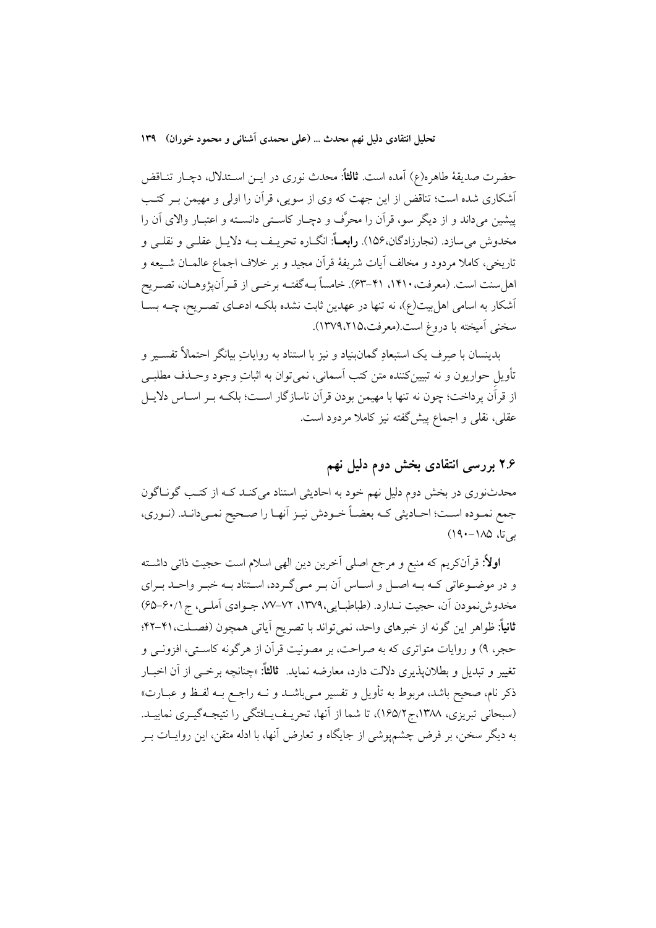تحلیل انتقادی دلیل نهم محدث … (علمی محمدی آشنانی و محمود خوران) ۱۳۹

حضرت صديقهٔ طاهره(ع) آمده است. **ثالثاً**: محدث نوری در ايــن اســتدلال، دچــار تنــاقض أشكاري شده است؛ تناقض از اين جهت كه وي از سويي، قرآن را اولي و مهيمن بـر كتـب پیشین می،داند و از دیگر سو، قرآن را محرَّف و دچـار کاسـتی دانسـته و اعتبـار والای آن را مخدوش مي سازد. (نجارزادگان،۱۵۶). **رابعــاً**: انگــاره تحريــف بــه دلايــل عقلــي و نقلــي و تاریخی، کاملا مردود و مخالف آیات شریفهٔ قرآن مجید و بر خلاف اجماع عالمــان شــیعه و اهل سنت است. (معرفت، ۱۴۱۰، ۴۱–۶۳). خامساً بـه گفتـه برخــي از قــر آن&وهــان، تصــر يح آشکار به اسامی اهل بیت(ع)، نه تنها در عهدین ثابت نشده بلکـه ادعـای تصـریح، چــه بســا سخني أميخته با دروغ است.(معرفت،١٣٧٩،٢١٥).

بدینسان با صرف یک استبعادِ گمانبنیاد و نیز با استناد به روایاتِ بیانگر احتمالاً تفسـیر و تأویل حواریون و نه تبیینکننده متن کتب آسمانی، نمیتوان به اثباتِ وجود وحـذف مطلبــ ٍ از قرآن پرداخت؛ چون نه تنها با مهیمن بودن قرآن ناسازگار اسـت؛ بلکـه بـر اسـاس دلايـل عقلی، نقلی و اجماع پیش گفته نیز کاملا مردود است.

## ۲.۶ بررسی انتقادی بخش دوم دلیل نهم

محدثنوری در بخش دوم دلیل نهم خود به احادیثی استناد میکنـد کـه از کتـب گونـاگون جمع نمـوده اسـت؛ احـاديثي كـه بعضـاً خـودش نيـز أنهـا را صـحيح نمـيدانـد. (نـوري، یے تا، ۱۸۵–۱۹۰)

**اولاً:** قرآنکریم که منبع و مرجع اصلی اَخرین دین الهی اسلام است حجیت ذاتی داشــته و در موضـوعاتی کـه بـه اصـل و اسـاس آن بـر مـی گـردد، اسـتناد بـه خبـر واحـد بـرای مخدوشنمودن آن، حجیت نـدارد. (طباطبایی،١٣٧٩، ٧٢–٧٧، جـوادي آملـي، ج ٤٠/١-69) ثانياً: ظواهر اين گونه از خبرهاي واحد، نمي تواند با تصريح اَياتي همچون (فصـلت،۴۱-۴۲؛ حجر، ۹) و روایات متواتری که به صراحت، بر مصونیت قرآن از هرگونه کاستی، افزونــی و تغییر و تبدیل و بطلان پذیری دلالت دارد، معارضه نماید. ثالثاً: «چنانچه برخبی از آن اخبـار ذکر نام، صحیح باشد، مربوط به تأویل و تفسیر مبی باشـد و نــه راجــع بــه لفـظ و عبــارت» (سبحانی تبریزی، ۱۳۸۸.ج ۱۶۵/۲)، تا شما از آنها، تحریـف یـافتگی را نتیجـهگیـری نماییـد. به دیگر سخن، بر فرض چشمپوشی از جایگاه و تعارض آنها، با ادله متقن، این روایــات بــر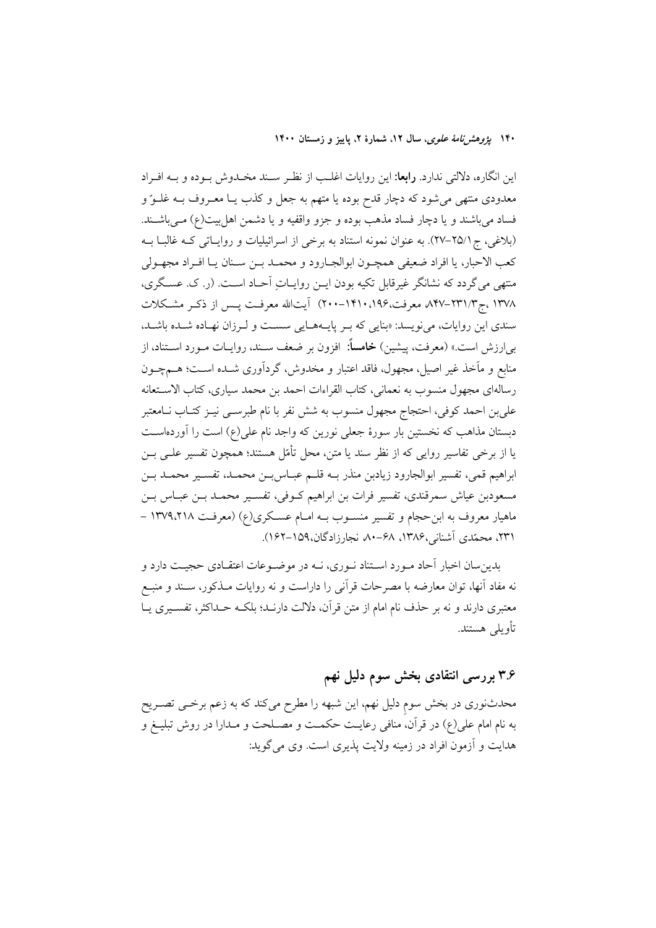۱۴۰ بی*ژوهش نامهٔ علوی*، سال ۱۲، شمارهٔ ۲، پاییز و زمستان ۱۴۰۰

این انگاره، دلالتی ندارد. **رابعا**: این روایات اغلـب از نظـر سـند مخـدوش بـوده و بـه افـراد معدودی منتهی می شود که دچار قدح بوده یا متهم به جعل و کذب یـا معـروف بــه غلــوّ و فساد میباشند و یا دچار فساد مذهب بوده و جزو واقفیه و یا دشمن اهل بیت(ع) مـیباشـند. (بلاغی، ج۲۵/۱–۲۷). به عنوان نمونه استناد به برخی از اسرائیلیات و روایـاتی کـه غالبـا بــه كعب الاحبار، يا افراد ضعيفي همچـون ابوالجـارود و محمـد بـن سـنان يـا افـراد مجهـولي منتهی می گردد که نشانگر غیرقابل تکیه بودن ایـن روایـاتِ آحـاد اسـت. (ر. ک. عسـگری، ١٣٧٨ ،ج١٣٧-٨۴٧-٨۴٧ معرفت،١٩۶،١٩١٠-٢٠٠) آيتالله معرفت پـس از ذكـر مشـكلات سندی این روایات، مینویسد: «بنایی که بـر پایـههـایی سسـت و لـرزان نهـاده شـده باشـد، بی|رزش است.» (معرفت، پیشین) **خامساً**: افزون بر ضعف سـند، روایــات مــورد اســتناد، از منابع و مآخذ غیر اصیل، مجهول، فاقد اعتبار و مخدوش، گردآوری شـده اسـت؛ هــمچــون رسالهاي مجهول منسوب به نعماني، كتاب القراءات احمد بن محمد سياري، كتاب الاستعانه علي بن احمد كوفي، احتجاج مجهول منسوب به شش نفر با نام طبرســي نيــز كتــاب نــامعتبر دبستان مذاهب که نخستین بار سورهٔ جعلی نورین که واجد نام علی(ع) است را آوردهاسـت يا از برخي تفاسير روايي كه از نظر سند يا متن، محل تأمّل هستند؛ همچون تفسير علـي بــن ابراهيم قمي، تفسير ابوالجارود زيادبن منذر بـه قلـم عبـاس بـن محمـد، تفسـير محمـد بـن مسعودبن عیاش سمرقندی، تفسیر فرات بن ابراهیم کـوفی، تفسـیر محمـد بـن عبـاس بـن ماهیار معروف به ابن حجام و تفسیر منسـوب بـه امـام عسـکری(ع) (معرفـت ١٣٧٩،٢١٨ – ۲۳۱، محمّدی آشنانی،۱۳۸۶، ۶۸–۸۰ نجارزادگان،۱۵۹–۱۶۲).

بدین سان اخبار آحاد مورد استناد نوری، نـه در موضـوعات اعتقـادی حجیـت دارد و نه مفاد آنها، توان معارضه با مصرحات قرآنی را داراست و نه روایات مــذکور، ســند و منبــع معتبري دارند و نه بر حذف نام امام از متن قرآن، دلالت دارنـد؛ بلكــه حــداكثر، تفســيري يــا تأويلي هستند.

# ۳.۶ بررسی انتقادی بخش سوم دلیل نهم

محدثنوری در بخش سوم دلیل نهم، این شبهه را مطرح میکند که به زعم برخــی تصــریح به نام امام علی(ع) در قرآن، منافی رعایـت حکمـت و مصـلحت و مـدارا در روش تبلیــغ و هدايت و آزمون افراد در زمينه ولايت پذيري است. وي مي گويد: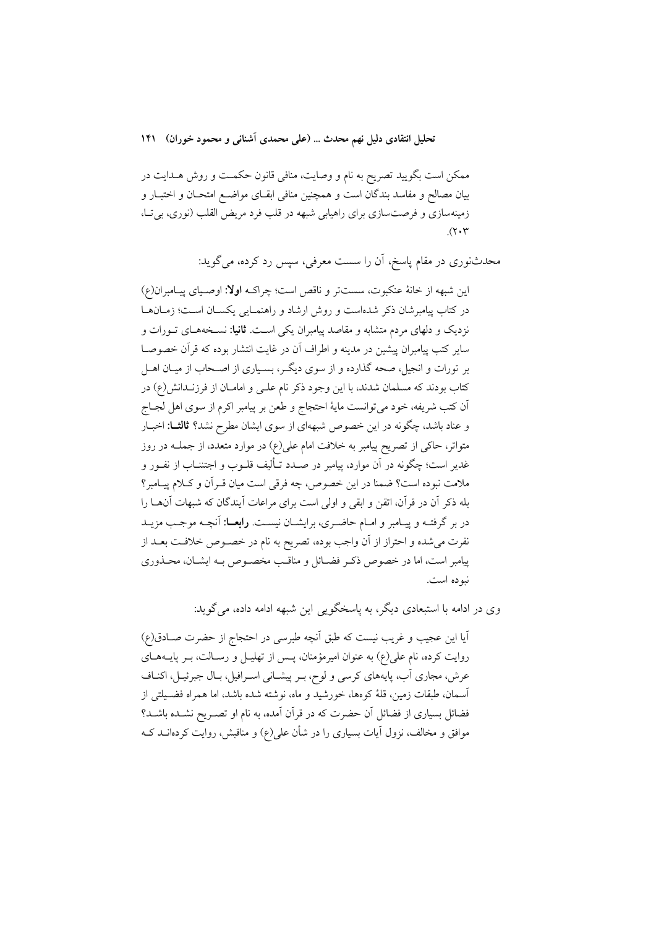تحلیل انتقادی دلیل نهم محدث … (علمی محمدی آشنانی و محمود خوران) ۱۴۱

ممکن است بگویید تصریح به نام و وصایت، منافی قانون حکمـت و روش هــدایت در بيان مصالح و مفاسد بندگان است و همچنين منافي ابقـاي مواضـع امتحـان و اختبـار و زمینهسازی و فرصتسازی برای راهیابی شبهه در قلب فرد مریض القلب (نوری، بی تـا،  $(\Upsilon \cdot \Upsilon)$ 

محدثنوری در مقام پاسخ، آن را سست معرفی، سپس رد کرده، می گوید:

اين شبهه از خانهٔ عنكبوت، سستتر و ناقص است؛ چراكـه اولا: اوصـياي پيـامبران(ع) در کتاب پیامبرشان ذکر شدهاست و روش ارشاد و راهنمـایی یکسـان اسـت؛ زمـانهـا نزدیک و دلهای مردم متشابه و مقاصد پیامبران یکی اسـت. **ثانیا:** نسـخههـای تـورات و سایر کتب پیامبران پیشین در مدینه و اطراف آن در غایت انتشار بوده که قرآن خصوصــا بر تورات و انجیل، صحه گذارده و از سوی دیگـر، بسـیاری از اصـحاب از میـان اهــل کتاب بودند که مسلمان شدند، با این وجود ذکر نام علـی و امامــان از فرزنــدانش(ع) در ٱن كتب شريفه، خود مي توانست ماية احتجاج و طعن بر پيامبر اكرم از سوى اهل لجــاج و عناد باشد، چگونه در این خصوص شبههای از سوی ایشان مطرح نشد؟ **ثالث!** اخبـار متواتر، حاکی از تصریح پیامبر به خلافت امام علی(ع) در موارد متعدد، از جملــه در روز غدیر است؛ چگونه در آن موارد، پیامبر در صـدد تـألیف قلــوب و اجتننــاب از نفــور و ملامت نبوده است؟ ضمنا در این خصوص، چه فرقی است میان قـرآن و کـلام پیـامبر؟ بله ذکر آن در قرآن، اتقن و ابقی و اولی است برای مراعات آیندگان که شبهات آنهــا را در بر گرفتـه و پیـامبر و امـام حاضـری، برایشـان نیسـت. **رابعــا**: آنچـه موجـب مزیــد نفرت می شده و احتراز از آن واجب بوده، تصریح به نام در خصـوص خلافـت بعـد از پیامبر است، اما در خصوص ذکر فضـائل و مناقـب مخصـوص بـه ایشـان، محـذوری نيوده است.

وي در ادامه با استبعادي ديگر، به پاسخگو يې اين شبهه ادامه داده، مي گويد:

آيا اين عجيب و غريب نيست كه طبق أنچه طبرسي در احتجاج از حضرت صـادق(ع) روایت کرده، نام علی(ع) به عنوان امیرمؤمنان، پـس از تهلیـل و رسـالت، بـر پایــههــای عرش، مجاری آب، پایههای کرسی و لوح، بـر پیشـانی اسـرافیل، بـال جبرئیـل، اکنـاف آسمان، طبقات زمین، قلهٔ کومها، خورشید و ماه، نوشته شده باشد، اما همراه فضـیلتی از فضائل بسیاری از فضائل آن حضرت که در قرآن آمده، به نام او تصـریح نشـده باشـد؟ موافق و مخالف، نزول آیات بسیاری را در شأن علی(ع) و مناقبش، روایت کردهانــد کــه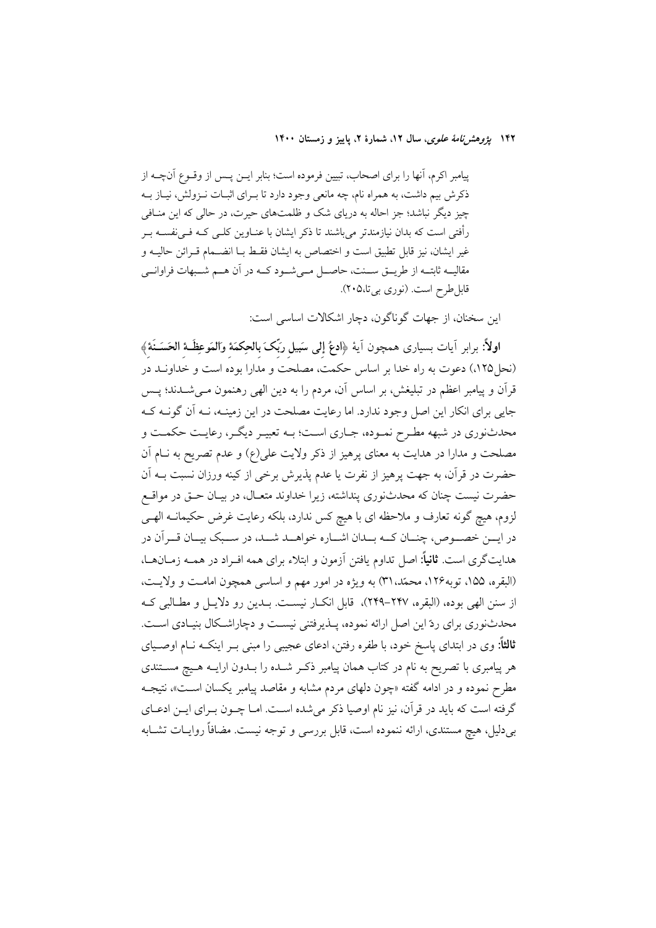۱۴۲ *یژوهشرنامهٔ علوی*، سال ۱۲، شمارهٔ ۲، پاییز و زمستان ۱۴۰۰

پیامبر اکرم، آنها را برای اصحاب، تبیین فرموده است؛ بنابر ایــن پــس از وقــوع آنچــه از ذکرش بیم داشت، به همراه نام، چه مانعی وجود دارد تا بـرای اثبـات نـزولش، نيـاز بـه چیز دیگر نباشد؛ جز احاله به دریای شک و ظلمتهای حیرت، در حالی که این منـافی رأفتی است که بدان نیازمندتر میباشند تا ذکر ایشان با عنــاوین کلــی کــه فــیففســه بــر غير ايشان، نيز قابل تطبيق است و اختصاص به ايشان فقـط بــا انضــمام قــرائن حاليــه و مقالیــه ثابتــه از طریــق ســنت، حاصــل مــیشــود کــه در آن هــم شــبهات فراوانــی قابل طرح است. (نوري بي تا،٢٠٥).

این سخنان، از جهات گوناگون، دچار اشکالات اساسی است:

اولاً: برابر آيات بسيارى همچون آيهٔ ﴿ادعُ إلى سَبيل رَبِّکَ بالحِکمَهٔ وَالمَوعِظَـهُ الحَسَــنَهُ﴾ (نحل ۱۲۵)، دعوت به راه خدا بر اساس حکمت، مصلحت و مدارا بوده است و خداونـد در قرآن و پیامبر اعظم در تبلیغش، بر اساس آن، مردم را به دین الهی رهنمون مـیشــدند؛ پــس جایی برای انکار این اصل وجود ندارد. اما رعایت مصلحت در این زمینـه، نـه آن گونـه کـه محدثنوري در شبهه مطـرح نمـوده، جـاري اسـت؛ بــه تعبيـر ديگــر، رعايــت حكمــت و مصلحت و مدارا در هدایت به معنای پرهیز از ذکر ولایت علی(ع) و عدم تصریح به نــام آن حضرت در قرآن، به جهت پرهیز از نفرت یا عدم پذیرش برخی از کینه ورزان نسبت بــه آن حضرت نیست چنان که محدثنوری پنداشته، زیرا خداوند متعـال، در بیـان حــق در مواقــع لزوم، هیچ گونه تعارف و ملاحظه ای با هیچ کس ندارد، بلکه رعایت غرض حکیمانــه الهــ<sub>ی</sub> در ايــن خصــوص، چنــان كــه بــدان اشــاره خواهــد شــد، در ســبك بيــان قــر آن در هدایتگری است. **ثانیاً:** اصل تداوم یافتن آزمون و ابتلاء برای همه افـراد در همــه زمــانهــا، (البقره، ۱۵۵، توبه۱۲۶، محمّد، ۳۱) به ویژه در امور مهم و اساسی همچون امامت و ولایت، از سنن الهي بوده، (البقره، ٢۴٧–٢۴٩)، قابل انكــار نيســت. بــدين رو دلايــل و مطــالبي كــه محدثنوری برای ردّ این اصل ارائه نموده، پــذیرفتنی نیسـت و دچاراشــکال بنیـادی اســت. **ثالثاً:** وی در ابتدای پاسخ خود، با طفره رفتن، ادعای عجیبی را مبنی بـر اینکــه نــام اوصــیای هر پیامبری با تصریح به نام در کتاب همان پیامبر ذکـر شــده را بــدون ارایــه هــیچ مســتندی مطرح نموده و در ادامه گفته «چون دلهای مردم مشابه و مقاصد پیامبر یکسان اسـت»، نتیجــه گرفته است که باید در قرآن، نیز نام اوصیا ذکر می شده است. امـا چــون بــرای ایــن ادعــای بر دلیل، هیچ مستندی، ارائه ننموده است، قابل بررسی و توجه نیست. مضافاً روایــات تشــابه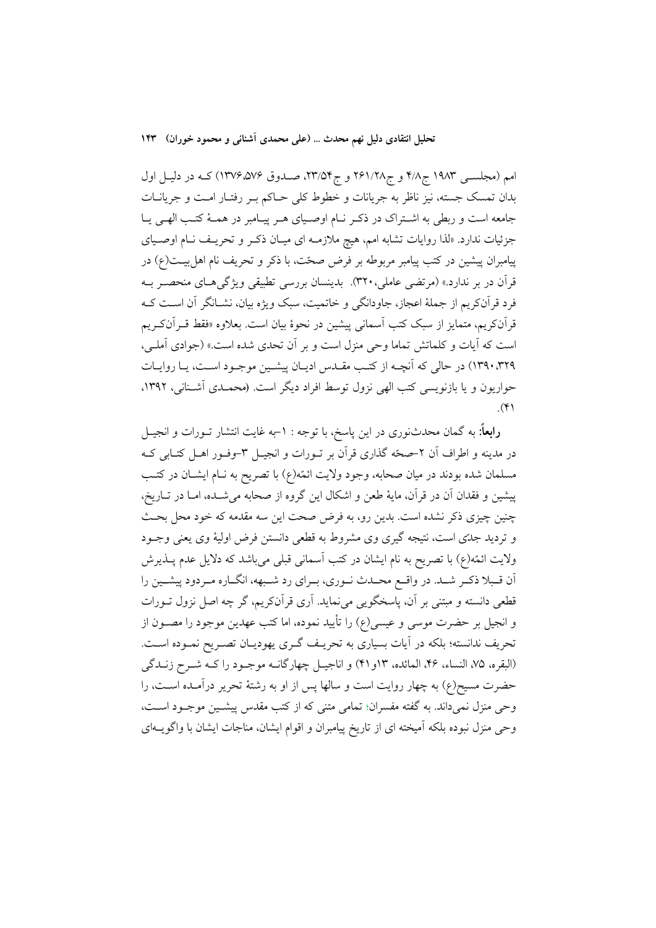تحلیل انتقادی دلیل نهم محدث … (علمی محمدی آشنانی و محمود خوران) ۱۴۳

امم (مجلسـی ۱۹۸۳ ج۱/۸ و ج۲۶۱/۲۸ و ج۵۳/۲۳، صـدوق ۱۳۷۶،۵۷۶) کـه در دليـل اول بدان تمسک جسته، نیز ناظر به جریانات و خطوط کلی حـاکم بـر رفتـار امـت و جریانــات جامعه است و ربطي به اشتراک در ذکر نام اوصـياي هـر پيـامبر در همـهٔ کتـب الهـي يـا جزئیات ندارد. «لذا روایات تشابه امم، هیچ ملازمـه ای میـان ذکـر و تحریـف نـام اوصـیای پیامبران پیشین در کتب پیامبر مربوطه بر فرض صحّت، با ذکر و تحریف نام اهل بیــت(ع) در قرآن در بر ندارد.» (مرتضى عاملي، ٣٢٠). بدينسان بررسى تطبيقى ويژگىهـاى منحصـر بــه فرد قرآنکریم از جملهٔ اعجاز، جاودانگی و خاتمیت، سبک ویژه بیان، نشـانگر آن اسـت کـه قرآنکریم، متمایز از سبک کتب آسمان<sub>ی</sub> پیشین در نحوهٔ بیان است. بعلاوه «فقط قــرآنکــریم است که آیات و کلماتش تماما وحی منزل است و بر آن تحدی شده است.» (جوادی آملی، ۰۳۲۹ (۱۳۹۰) در حالی که آنچــه از کتـب مقــدس اديــان پيشــين موجـود اســت، يــا روايــات حواریون و یا بازنویسی کتب الهی نزول توسط افراد دیگر است. (محمـدی آشـنانی، ۱۳۹۲.  $(\Upsilon)$ 

**رابعاً:** به گمان محدثنوری در این پاسخ، با توجه : ١–به غایت انتشار تــورات و انجیــل در مدینه و اطراف آن ۲–صحّه گذاری قرآن بر تــورات و انجیــل ۳–وفــور اهــل کتــابی کــه مسلمان شده بودند در میان صحابه، وجود ولایت ائمّه(ع) با تصریح به نـام ایشــان در کتــب پیشین و فقدان آن در قرآن، مایهٔ طعن و اشکال این گروه از صحابه میشـده، امـا در تـاریخ، چنین چیزی ذکر نشده است. بدین رو، به فرض صحت این سه مقدمه که خود محل بحث و تردید جدّی است، نتیجه گیری وی مشروط به قطعی دانستن فرض اولیهٔ وی یعنی وجـود ولایت ائمّه(ع) با تصریح به نام ایشان در کتب آسمانی قبلی میباشد که دلایل عدم پــذیرش آن قـبلا ذكـر شـد. در واقـع محـدث نـوري، بـراي رد شـبهه، انگـاره مـردود پيشـين را قطعی دانسته و مبتنی بر آن، پاسخگویی می $i$ ماید. آری قرآنکریم، گر چه اصل نزول تــورات و انجیل بر حضرت موسی و عیسی(ع) را تأیید نموده، اما کتب عهدین موجود را مصــون از تحریف ندانسته؛ بلکه در آیات بسیاری به تحریـف گـری یهودیـان تصـریح نمـوده اسـت. (البقره، ٧۵، النساء، ۴۶، المائده، ١٣و ۴١) و اناجيـل چهارگانــه موجــود را كــه شــرح زنــدگي حضرت مسیح(ع) به چهار روایت است و سالها پس از او به رشتهٔ تحریر درآمـده اسـت، را وحي منزل نمي داند. به گفته مفسران؛ تمامي متني كه از كتب مقدس پيشـين موجـود اسـت، وحی منزل نبوده بلکه آمیخته ای از تاریخ پیامبران و اقوام ایشان، مناجات ایشان با واگویــهای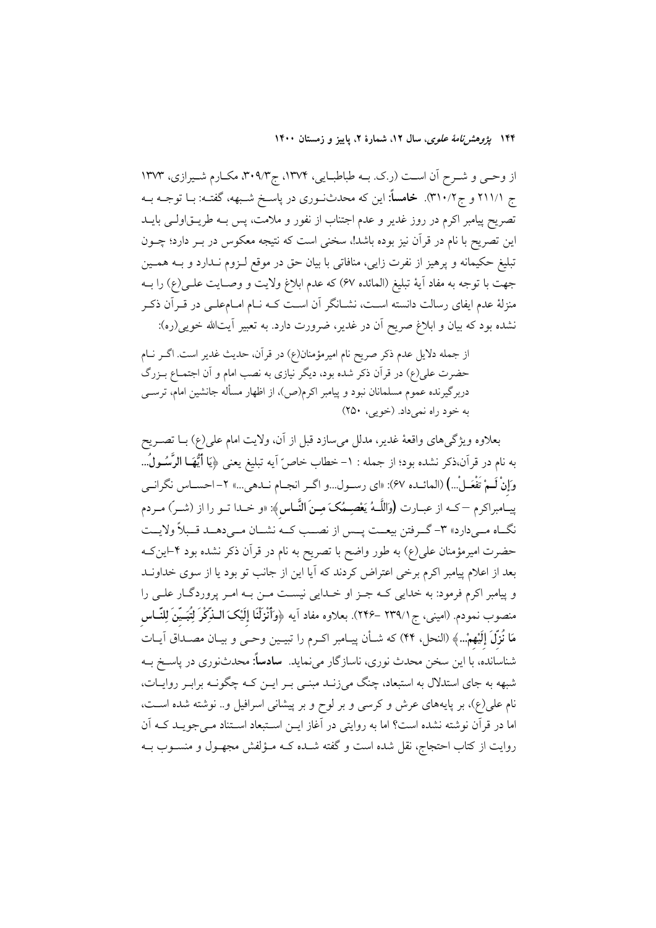۱۴۴ پژ*وهشرنامهٔ علوی*، سال ۱۲، شمارهٔ ۲، پاییز و زمستان ۱۴۰۰

از وحمی و شـرح آن اسـت (ر.ک. بــه طباطبــایی، ۱۳۷۴، ج۳۰۹/۳، مکــارم شــیرازی، ۱۳۷۳ ج ٢١١/١ و ج٣١٠/٢). خامساً: اين كه محدثنوري در پاسـخ شـبهه، گفتـه: بــا توجــه بــه تصریح پیامبر اکرم در روز غدیر و عدم اجتناب از نفور و ملامت، پس بــه طریــق|ولــی بایــد این تصریح با نام در قرآن نیز بوده باشد!، سخنی است که نتیجه معکوس در بـر دارد؛ چــون تبلیغ حکیمانه و پرهیز از نفرت زایی، منافاتی با بیان حق در موقع لـزوم نـدارد و بــه همـین جهت با توجه به مفاد أيهٔ تبليغ (الممائده ۶۷) كه عدم ابلاغ ولايت و وصـايت علــي(ع) را بــه منزلهٔ عدم ایفای رسالت دانسته اسـت، نشــانگر آن اسـت کــه نــام امــامعلــی در قــراَن ذکــر نشده بود که بیان و ابلاغ صریح آن در غدیر، ضرورت دارد. به تعبیر آیتالله خویی(ره):

از جمله دلایل عدم ذکر صریح نام امیرمؤمنان(ع) در قرآن، حدیث غدیر است. اگـر نـام حضرت علي(ع) در قرآن ذكر شده بود، ديگر نيازي به نصب امام و آن اجتمــاع بــزرگ دربرگیرنده عموم مسلمانان نبود و پیامبر اکرم(ص)، از اظهار مسأله جانشین امام، ترســی به خود راه نمي داد. (خويي، ٢۵٠)

بعلاوه ویژگیهای واقعهٔ غدیر، مدلل میسازد قبل از آن، ولایت امام علی(ع) بــا تصــریح به نام در قرآن،ذکر نشده بود؛ از جمله : ١–خطاب خاصّ آيه تبليغ يعني ﴿يَا أَيُّهَـا الرَّسُــولُ... وَإِنْ لَــمْ تَفْعَــلْ...) (المائــده ۶۷): «اي رســول...و اگــر انجــام نــدهي...» ۲– احســاس نگرانــي پیـامبراکرم —کــه از عبــارت (وَاللَّــهُ يَعْصِــمُکَ مِــِنَ النَّــاس﴾: «و خــدا تــو را از (شــر) مــردم نگــاه مــي(دارد» ٣- گــرفتن بيعــت يــس از نصــب كــه نشــان مــي(دهــد قــبلاً ولايــت حضرت امیرمؤمنان علی(ع) به طور واضح با تصریح به نام در قرآن ذکر نشده بود ۴−این ک بعد از اعلام پیامبر اکرم برخی اعتراض کردند که آیا این از جانب تو بود یا از سوی خداونـد و پیامبر اکرم فرمود: به خدایی کـه جـز او خـدایی نیسـت مـن بـه امـر پروردگـار علـی را منصوب نمودم. (امینی، ج ۲۳۹/۱ –۲۴۶). بعلاوه مفاد اَیه ﴿وَأَنْزَلْنَا إِلَیْکَ الـٰذِّکْرَ لِتُبَـیِّنَ لِلنَّــاس مَا نُزِلَ إِلَيْهِمْ...﴾ (النحل، ۴۴) كه شـأن پيـامبر اكـرم را تبيـين وحـي و بيـان مصـداق آيـات شناسانده، با این سخن محدث نوری، ناسازگار میiماید. **سادساً:** محدثنوری در یاســخ بــه شبهه به جای استدلال به استبعاد، چنگ میزنـد مبنـی بـر ایــن کـه چگونــه برابـر روایــات، نام علی(ع)، بر پایههای عرش و کرسی و بر لوح و بر پیشانی اسرافیل و.. نوشته شده است، اما در قرآن نوشته نشده است؟ اما به روایتی در آغاز ایــن اســتبعاد اســتناد مــیجویــد کــه آن روایت از کتاب احتجاج، نقل شده است و گفته شـده کـه مـؤلفش مجهـول و منسـوب بـه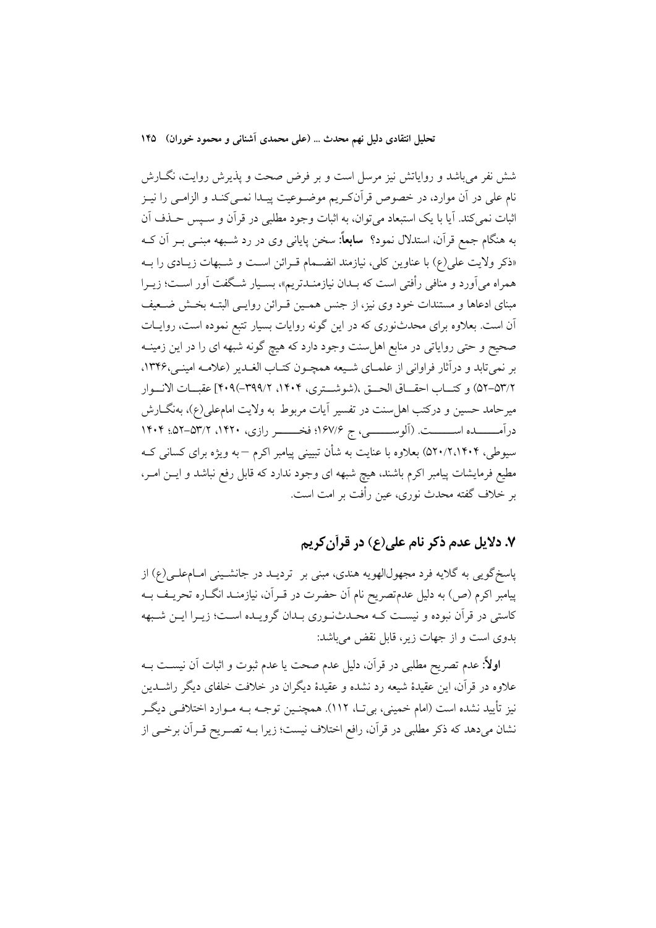تحلیل انتقادی دلیل نهم محدث … (علمی محمدی آشنانی و محمود خوران) ۱۴۵

شش نفر میباشد و روایاتش نیز مرسل است و بر فرض صحت و پذیرش روایت، نگــارش نام علي در آن موارد، در خصوص قرآنکريم موضـوعيت پيـدا نمـي کنـد و الزامـي را نيـز اثبات نمیکند. آیا با یک استبعاد میتوان، به اثبات وجود مطلبی در قرآن و ســپس حــذف آن به هنگام جمع قرآن، استدلال نمود؟ **سابعاً:** سخن پایان<sub>ی</sub> وی در رد شـبهه مبنــی بــر آن کــه «ذکر ولایت علی(ع) با عناوین کلی، نیازمند انضـمام قـرائن اسـت و شـبهات زیـادی را بــه همراه می آورد و منافی رأفتی است که بـدان نیازمنـدتریم»، بسـیار شـگفت آور اسـت؛ زیــرا مبنای ادعاها و مستندات خود وی نیز، از جنس همـین قـرائن روایـی البتـه بخـش ضـعیف آن است. بعلاوه برای محدثنوری که در این گونه روایات بسیار تتبع نموده است، روایـات صحیح و حتی روایاتی در منابع اهلِ سنت وجود دارد که هیچ گونه شبهه ای را در این زمینــه بر نمي تابد و درآثار فراواني از علمـاي شـيعه همچـون كتـاب الغـدير (علامـه امينـي،١٣۴۶. ٥٢/٢-٥٣) و كتـــاب احقـــاق الحـــق ،(شوشـــترى، ١۴٠۴، ٣٩٩/٢-٣٩٩) عقبـــات الانـــوار میرحامد حسین و درکتب اهل سنت در تفسیر آیات مربوط به ولایت امامعلی(ع)، بهنگــارش درآمــــــــــده اســـــــــت. (آلوســـــــــــی، ج ۱۶۷/۶؛ فخــــــــــر رازی، ۱۴۰۰، ۱۴۰۲–۵۲؛ ۱۴۰۴ سیوطی، ۵۲۰/۲،۱۴۰۴) بعلاوه با عنایت به شأن تبیینی پیامبر اکرم —به ویژه برای کسانی کـه مطیع فرمایشات پیامبر اکرم باشند، هیچ شبهه ای وجود ندارد که قابل رفع نباشد و ایــن امــر، بر خلاف گفته محدث نوری، عین رأفت بر امت است.

# ۷. دلایل عدم ذکر نام علی(ع) در قرآن کریم

پاسخگویی به گلایه فرد مجهول|لهویه هندی، مبنی بر تردیــد در جانشــینی امــام،طـی(ع) از پیامبر اکرم (ص) به دلیل عدمتصریح نام آن حضرت در قــراَن، نیازمنــد انگــاره تحریــف بــه كاستي در قرآن نبوده و نيست كـه محـدثنـوري بـدان گرويـده اسـت؛ زيـرا ايـن شـبهه بدوی است و از جهات زیر، قابل نقض میباشد:

**اولاً**: عدم تصریح مطلبی در قرآن، دلیل عدم صحت یا عدم ثبوت و اثبات آن نیســت بــه علاوه در قرأن، این عقیدهٔ شیعه رد نشده و عقیدهٔ دیگران در خلافت خلفای دیگر راشــدین نیز تأیید نشده است (امام خمینی، بی تــا، ١١٢). همچنـین توجــه بــه مــوارد اختلافــی دیگــر نشان میدهد که ذکر مطلبی در قرآن، رافع اختلاف نیست؛ زیرا بــه تصــریح قــرآن برخــی از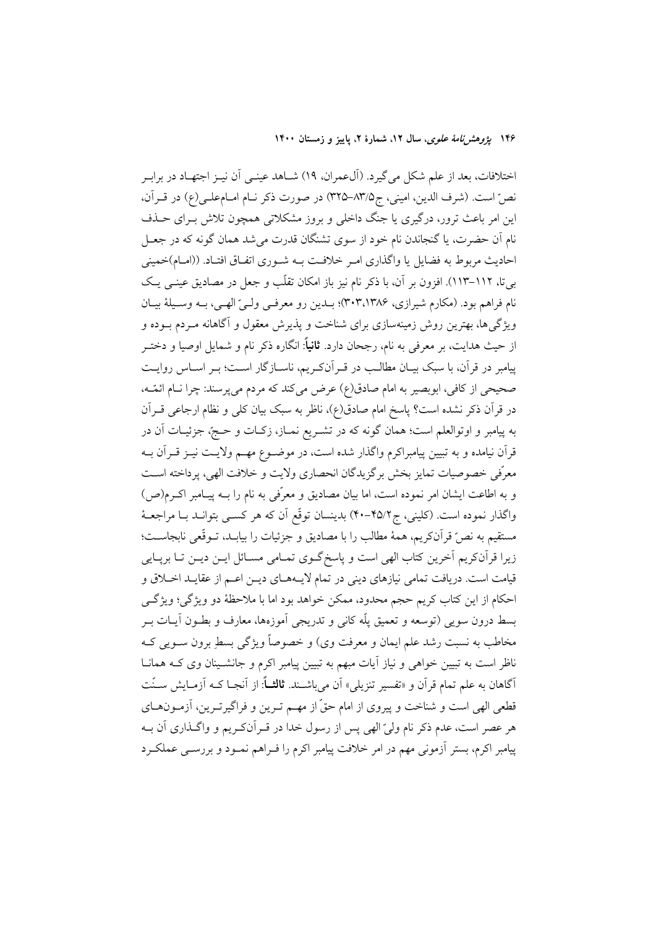۱۴۶ بیر*وهش نامهٔ علوی*، سال ۱۲، شمارهٔ ۲، پاییز و زمستان ۱۴۰۰

اختلافات، بعد از علم شکل میگیرد. (آل0عمران، ١٩) شــاهد عینــی آن نیــز اجتهــاد در برابــر نصِّ است. (شرف الدين، اميني، ج٨٣/٥-٣٢٥) در صورت ذكر نـام امـام علـي(ع) در قـرآن، این امر باعث ترور، درگیری یا جنگ داخلی و بروز مشکلاتی همچون تلاش بـرای حــذف نام آن حضرت، یا گنجاندن نام خود از سوی تشنگان قدرت می شد همان گونه که در جعـل احادیث مربوط به فضایل یا واگذاری امـر خلافـت بـه شـوری اتفـاق افتـاد. ((امـام)خمینی بیتا، ۱۱۲–۱۱۳). افزون بر آن، با ذکر نام نیز باز امکان تقلّب و جعل در مصادیق عینـی یـک نام فراهم بود. (مکارم شیرازی، ۳۰۳،۱۳۸۶)؛ بـدین رو معرفـی ولـیّ الهـی، بـه وسـیلهٔ بیـان ویژگیها، بهترین روش زمینهسازی برای شناخت و پذیرش معقول و آگاهانه مـردم بــوده و از حیث هدایت، بر معرفی به نام، رجحان دارد. **ثانیاً**: انگاره ذکر نام و شمایل اوصیا و دختـر پیامبر در قرآن، با سبک بیـان مطالـب در قـرآنکـریم، ناسـازگار اسـت؛ بـر اسـاس روایـت صحیحی از کافی، ابوبصیر به امام صادق(ع) عرض می کند که مردم می پرسند: چرا نــام ائمّــه، در قرآن ذکر نشده است؟ پاسخ امام صادق(ع)، ناظر به سبک بیان کلی و نظام ارجاعی قــراَن به پیامبر و اوتوالعلم است؛ همان گونه که در تشـریع نمــاز، زکــات و حــجّ، جزئیــات آن در قرآن نیامده و به تبیین پیامبراکرم واگذار شده است، در موضـوع مهـم ولایـت نیــز قــرآن بــه معرّفي خصوصيات تمايز بخش برگزيدگان انحصاري ولايت و خلافت الهي، پرداخته اســت و به اطاعت ایشان امر نموده است، اما بیان مصادیق و معرِّفی به نام را بــه پیـامبر اکــرم(ص) واگذار نموده است. (کلینی، ج۲۵/۲–۴۰) بدینسان توقّع آن که هر کســی بتوانــد بــا مراجعــهٔ مستقيم به نصٌّ قرآنكريم، همهٔ مطالب را با مصاديق و جزئيات را بيابـد، تــوقّعي نابجاســت؛ زیرا قرآنکریم آخرین کتاب الهی است و پاسخ گـوی تمـامی مسـائل ایــن دیــن تــا برپــایی قیامت است. دریافت تمامی نیازهای دینی در تمام لایـههـای دیــن اعــم از عقایــد اخــلاق و احکام از این کتاب کریم حجم محدود، ممکن خواهد بود اما با ملاحظهٔ دو ویژگی؛ ویژگی بسط درون سویی (توسعه و تعمیق یلّه کانی و تدریجی آموزهها، معارف و بطــون آیــات بــر مخاطب به نسبت رشد علم ايمان و معرفت وي) و خصوصاً ويژگي بسطِ برون ســويي کــه ناظر است به تبیین خواهی و نیاز آیات مبهم به تبیین پیامبر اکرم و جانشـینان وی کــه همانــا آگاهان به علم تمام قرآن و «تفسیر تنزیلی» آن میباشـند. **ثالثــاً**: از آنجـا کــه آزمــایش ســنّت قطعی الهی است و شناخت و پیروی از امام حقّ از مهـم تـرین و فراگیرتـرین، آزمـونهـای هر عصر است، عدم ذکر نام وليّ الهي پس از رسول خدا در قـرآنکـريم و واگــذاري آن بــه پیامبر اکرم، بستر اَزمونی مهم در امر خلافت پیامبر اکرم را فـراهم نمـود و بررســی عملکـرد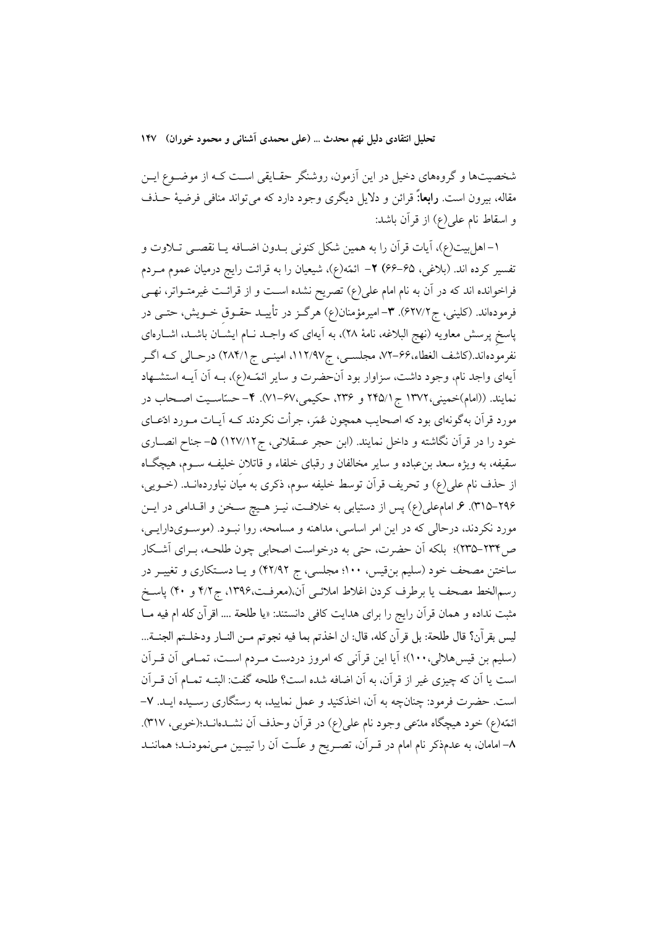تحلیل انتقادی دلیل نهم محدث … (علی محمدی آشنانی و محمود خوران) ۱۴۷

شخصیتها و گروههای دخیل در این آزمون، روشنگر حقـایقی اسـت کـه از موضـوع ایـن مقاله، بیرون است. **رابعا**:ً قرائن و دلایل دیگری وجود دارد که میتواند منافی فرضیهٔ حــذف و اسقاط نام على(ع) از قرآن باشد:

١–اهل بيت(ع)، أيات قرآن را به همين شكل كنوني بـدون اضـافه يـا نقصــي تــلاوت و تفسیر کرده اند. (بلاغی، ۶۵–۶۶) ۲– ائمّه(ع)، شیعیان را به قرائت رایج درمیان عموم مـردم فراخوانده اند که در آن به نام امام علی(ع) تصریح نشده است و از قرائـت غیرمتـواتر، نهـی فرمودهاند. (کلینی، ج ۶۲۷/۲). ۳-امیرمؤمنان(ع) هرگــز در تأییــد حقــوق خــویش، حتــی در پاسخ پرسش معاویه (نهج البلاغه، نامهٔ ۲۸)، به آیهای که واجـد نــام ایشــان باشــد، اشــارهای نفرمودهاند.(کاشف الغطاء،۶۶-۷۲، مجلسـي، ج۱۱۲/۹۷، امینــی ج ۲۸۴/۱) درحـالی کــه اگــر آيهاي واجد نام، وجود داشت، سزاوار بود آنحضرت و ساير ائمّـه(ع)، بــه آن آيــه استشــهاد نمایند. ((امام)خمینی،۱۳۷۲ ج (۲۴۵ و ۲۳۶، حکیمی،۶۷-۷۱). ۴–حسّاسـیت اصـحاب در مورد قرآن بهگونهای بود که اصحایب همچون عُمَر، جرأت نکردند کـه آیـات مـورد ادّعـای خود را در قرآن نگاشته و داخل نمایند. (ابن حجر عسقلانی، ج۱۲۷/۱۲) ۵– جناح انصـاری سقيفه، به ويژه سعد بنءباده و ساير مخالفان و رقباي خلفاء و قاتلان خليف سوم، هيچگاه از حذف نام علی(ع) و تحریف قرآن توسط خلیفه سوم، ذکری به میان نیاوردهانــد. (خــویی، ۲۹۶–۳۱۵). ۶. امام علی(ع) پس از دستیابی به خلافت، نیـز هـیچ سـخن و اقـدامی در ایـن مورد نکردند، درحالی که در این امر اساسی، مداهنه و مسامحه، روا نبـود. (موسـویدارایـی، ص٢٣٣–٢٣٥)؛ بلكه أن حضرت، حتى به درخواست اصحابي چون طلحـه، بـراي أشـكار ساختن مصحف خود (سلیم بنقیس، ۱۰۰؛ مجلسی، ج ۴۲/۹۲) و یـا دسـتکاری و تغییـر در رسم|لخط مصحف یا برطرف کردن اغلاط املائــی اَن،(معرفــت،۱۳۹۶، ج۴/۲ و ۴۰) پاســخ مثبت نداده و همان قرآن رایج را برای هدایت کافی دانستند: «یا طلحة .... اقرآن کله ام فیه مــا ليس بقرآن؟ قال طلحة: بل قرآن كله، قال: ان اخذتم بما فيه نجوتم مـن النــار ودخلــتم الجنــة... (سلیم بن قیس هلالی، ١٠٠)؛ آیا این قرآنی که امروز دردست مـردم اسـت، تمـامی آن قـرآن است يا أن كه چيزي غير از قرآن، به أن اضافه شده است؟ طلحه گفت: البتــه تمــام أن قــرأن است. حضرت فرمود: چنانچه به آن، اخذکنید و عمل نمایید، به رستگاری رسـیده ایـد. ۷-ائمّه(ع) خود هیچگاه مدّعی وجود نام علی(ع) در قرآن وحذف آن نشـدهانـد؛(خوبی، ٣١٧). ٨–امامان، به عدمذکر نام امام در قــراَن، تصــريح و علّــت اَن را تبيــين مــىنمودنــد؛ هماننــد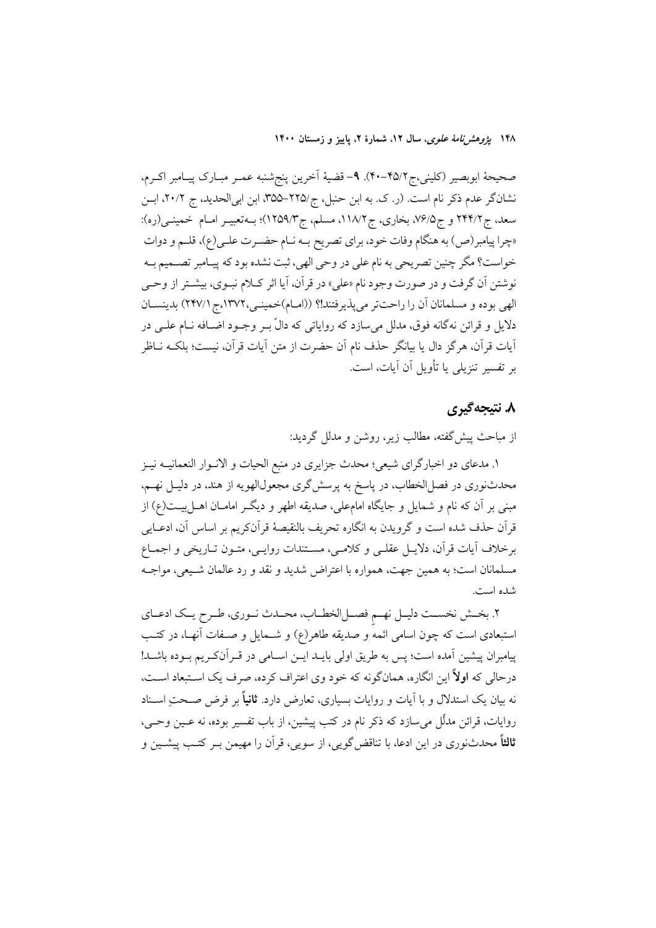۱۴۸ يژ*وهشن نامهٔ علوی*، سال ۱۲، شمارهٔ ۲، پاییز و زمستان ۱۴۰۰

صحيحة ابوبصير (كليني،ج٢٥/٢-٣٠). ٩- قضية أخرين پنجشنبه عمـر مبـارك پيـامبر اكـرم، نشان گر عدم ذکر نام است. (ر. ک. به ابن حنبل، ج/٢٢٥–٣٥۵، ابن ابی الحدید، ج ٢٠/٢، ابـن سعد، ج ۲۴۴/۲ و ج۵/۶/۵ بخاري، ج ۱۱۸/۲، مسلم، ج ۱۲۵۹/۳)؛ بــهتعبيــر امــام خمينــي(ره): «چرا پیامبر(ص) به هنگام وفات خود، برای تصریح بـه نـام حضـرت علـی(ع)، قلـم و دوات خواست؟ مگر چنین تصریحی به نام علی در وحی الهی، ثبت نشده بود که پیـامبر تصــمیم بــه نوشتن آن گرفت و در صورت وجود نام «علي» در قرآن، آيا اثر كـلام نبـوي، بيشـتر از وحـي الهي بوده و مسلمانان أن را راحتتر مي پذيرفتند!؟ ((امـام)خمينـي،١٣٧٢،ج (٢۴٧/١) بدينسـان دلایل و قرائن نهگانه فوق، مدلل میسازد که روایاتی که دالّ بــر وجــود اضــافه نــام علــی در آيات قرآن، هرگز دال يا بيانگر حذف نام آن حضرت از متن آيات قرآن، نيست؛ بلكــه نــاظر بر تفسیر تنزیلی یا تأویل آن آیات، است.

### ۸. نتىجەگېرى

از مباحث پیش گفته، مطالب زیر، روشن و مدلل گردید:

۱. مدعاي دو اخبارگراي شيعي؛ محدث جزايري در منبع الحيات و الانــوار النعمانيــه نيــز محدثنوری در فصل|لخطاب، در پاسخ به پرسشگری مجعول|لهویه از هند، در دلیــل نهــم، مبنی بر آن که نام و شمایل و جایگاه امامءلی، صدیقه اطهر و دیگـر امامـان اهــلبیـــت(ع) از قرآن حذف شده است و گرویدن به انگاره تحریف بالنقیصهٔ قرآنکریم بر اساس آن، ادعــایی برخلاف آيات قرآن، دلايـل عقلـي و كلامـي، مسـتندات روايـي، متـون تـاريخي و اجمـاع مسلمانان است؛ به همین جهت، همواره با اعتراض شدید و نقد و رد عالمان شـیعی، مواجـه شده است.

٢. بخــش نخســت دليــل نهــم فصــلالخطــاب، محــدث نــوري، طــرح يــك ادعــاي استبعادی است که چون اسامی ائمه و صدیقه طاهر(ع) و شـمایل و صـفات آنهـا، در کتـب پیامبران پیشین آمده است؛ پس به طریق اولی بایــد ایــن اســامی در قــراّنکــریم بــوده باشــد! درحالی که ا**ولاً** این انگاره، همانگونه که خود وی اعتراف کرده، صرف یک اسـتبعاد اسـت، نه بیان یک استدلال و با آیات و روایات بسیاری، تعارض دارد. **ثانیاً** بر فرض صـحتِ اسـناد روايات، قرائن مدلّل مي سازد كه ذكر نام در كتب پيشين، از باب تفسير بوده، نه عــين وحــي، **ثالثاً** محدثنوری در این ادعا، با تناقض گویی، از سویی، قرآن را مهیمن بـر کتـب پیشـین و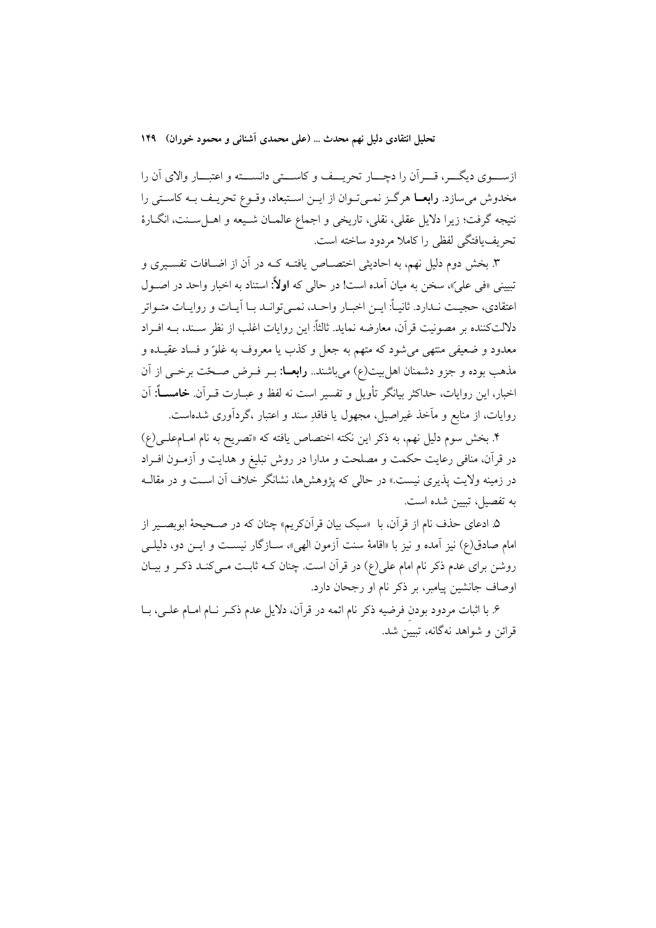تحلیل انتقادی دلیل نهم محدث … (علمی محمدی آشنانی و محمود خوران) ۱۴۹

ازسـوي ديگـــر، قـــران را دچـــار تحريـــف و كاســـتى دانســـته و اعتبـــار والاي آن را مخدوش می سازد. **رابعــا** هرگــز نمــی تــوان از ایــن اســتبعاد، وقــوع تحریــف بــه کاســتی را نتيجه گرفت؛ زيرا دلايل عقلي، نقلي، تاريخي و اجماع عالمـان شـيعه و اهــلسـنت، انگــارهٔ تحريف يافتگي لفظي را كاملا مردود ساخته است.

۳. بخش دوم دلیل نهم، به احادیثی اختصــاص یافتــه کــه در آن از اضــافات تفســیری و تبیینی «فی علی»، سخن به میان آمده است! در حالی که **اولاً:** استناد به اخبار واحد در اصـول اعتقادی، حجیت نـدارد. ثانیــاً: ایــن اخبــار واحــد، نمــی توانــد بــا آیــات و روایــات متــواتر دلالتكننده بر مصونيت قرآن، معارضه نمايد. ثالثاً: اين روايات اغلب از نظر سـند، بــه افــراد معدود و ضعیفی منتهی میشود که متهم به جعل و کذب یا معروف به غلوّ و فساد عقیـده و مذهب بوده و جزو دشمنان اهل بیت(ع) میباشند.. **رابعــا**: بــر فــرض صــحّت برخــی از آن اخبار، این روایات، حداکثر بیانگر تأویل و تفسیر است نه لفظ و عبــارت قــرآن. **خامســـاً:** آن روایات، از منابع و مآخذ غیراصیل، مجهول یا فاقدِ سند و اعتبار ،گردآوری شدهاست.

۴. بخش سوم دلیل نهم، به ذکر این نکته اختصاص یافته که «تصریح به نام امـام،علـی(ع) در قرآن، منافی رعایت حکمت و مصلحت و مدارا در روش تبلیغ و هدایت و آزمــون افــراد در زمینه ولایت پذیری نیست.» در حال<sub>می</sub> که یژوهشها، نشانگر خلاف آن اسـت و در مقالــه به تفصيل، تبيين شده است.

۵. ادعای حذف نام از قرآن، با «سبک بیان قرآنکریم» چنان که در صـحیحهٔ ابوبصـیر از امام صادق(ع) نیز اَمده و نیز با «اقامهٔ سنت اَزمون الهی»، ســازگار نیســت و ایــن دو، دلیلــی روشن برای عدم ذکر نام امام علی(ع) در قرآن است. چنان کــه ثابــت مــیکنــد ذکــر و بیــان اوصاف جانشین پیامبر، بر ذکر نام او رجحان دارد.

۶. با اثبات مردود بودن فرضیه ذکر نام ائمه در قرآن، دلایل عدم ذکـر نـام امـام علـی، بـا قرائن و شواهد نهگانه، تبیین شد.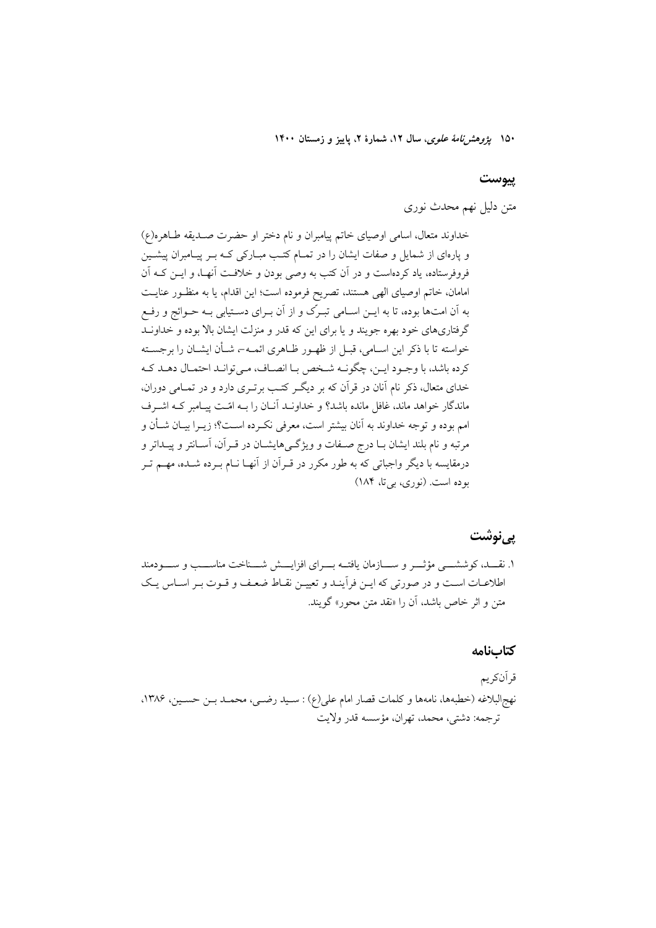۱۵۰ بی*ژوهش نامهٔ علوی*، سال ۱۲، شمارهٔ ۲، پاییز و زمستان ۱۴۰۰

#### پيوست

متن دلیل نهم محدث نوری

خداوند متعال، اسامی اوصیای خاتم پیامبران و نام دختر او حضرت صـدیقه طـاهره(ع) و پارهای از شمایل و صفات ایشان را در تمـام کتـب مبـارکی کـه بـر پیـامبران پیشـین فروفرستاده، یاد کردهاست و در آن کتب به وصی بودن و خلافت آنهـا، و ایــن کــه آن امامان، خاتم اوصیای الهی هستند، تصریح فرموده است؛ این اقدام، یا به منظور عنایت به آن امتها بوده، تا به ایــن اســامی تبـرک و از آن بــرای دســتیابی بــه حــوائج و رفــع گرفتاریهای خود بهره جویند و یا برای این که قدر و منزلت ایشان بالا بوده و خداونـد خواسته تا با ذکر این اسـامی، قبـل از ظهـور ظـاهری ائمـه-، شـأن ایشـان را برجسـته كرده باشد، با وجـود ايـن، چگونـه شـخص بـا انصـاف، مـى توانـد احتمـال دهـد كـه خدای متعال، ذکر نام آنان در قرآن که بر دیگر کتب برتـری دارد و در تمـامی دوران، ماندگار خواهد ماند، غافل مانده باشد؟ و خداونـد آنـان را بـه امّـت پيـامبر كـه اشـرف امم بوده و توجه خداوند به آنان بیشتر است، معرفی نکـرده اسـت؟؛ زیــرا بیــان شــأن و مرتبه و نام بلند ایشان بـا درج صـفات و ویژگـی۵ایشـان در قـرآن، آسـانتر و پیــداتر و درمقایسه با دیگر واجباتی که به طور مکرر در قـراَن از اَنهـا نــام بــرده شــده، مهــم تــر بوده است. (نوري، بي تا، ١٨۴)

#### پے نوشت

١. نقـــد، كوششــــي مؤثــــر و ســــازمان يافتــه بــــراي افزايــــش شـــناخت مناســـب و ســــودمند اطلاعـات اسـت و در صورتي كه ايـن فرأينـد و تعييـن نقـاط ضعـف و قـوت بـر اسـاس يـك متن و اثر خاص باشد، أن را «نقد متن محور» گویند.

#### كتابنامه

قر آنكريم نهج|لبلاغه (خطبهها، نامهها و كلمات قصار امام على(ع) : سـيد رضـي، محمــد بــن حسـين، ١٣٨۶، ترجمه: دشتي، محمد، تهران، مؤسسه قدر ولايت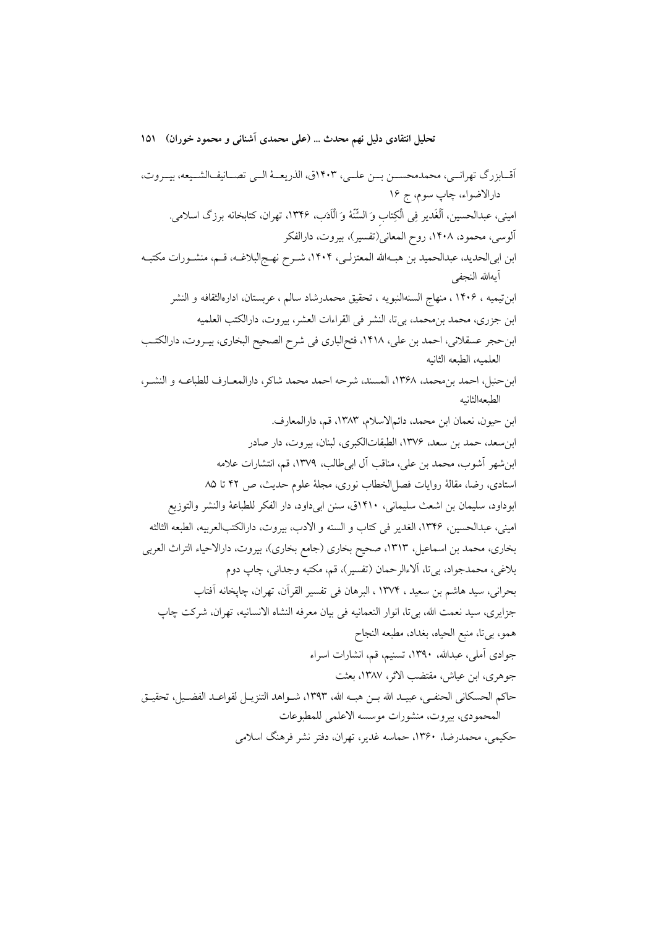تحليل انتقادي دليل نهم محدث … (علمي محمدي آشناني و محمود خوران) ١٥١

أقـابزرگ تهرانــي، محمدمحســن بــن علــي، ١٤٠٣ق، الذريعــهٔ الــي تصــانيفالشــيعه، بيــروت، دارالاضواء، چاپ سوم، ج ۱۶ امینی، عبدالحسین، ألْغَدیر فِی الْکِتاب وَ السُّنَّهٔ وَ الْاَدَبِ، ۱۳۴۶، تهران، کتابخانه برزگ اسلامی. آلوسي، محمود، ١۴٠٨، روح المعاني(تفسير)، بيروت، دارالفكر ابن ابي|لحديد، عبدالحميد بن هبـهالله المعتزلـي، ١۴٠۴، شـرح نهـجالبلاغـه، قـم، منشـورات مكتبـه آىەالله النجفى ابن تيميه ، ١۴٠۶ ، منهاج السنهالنبويه ، تحقيق محمدرشاد سالم ، عربستان، ادارهالثقافه و النشر ابن جزري، محمد بن محمد، بي تا، النشر في القراءات العشر، بيروت، دارالكتب العلميه ابن حجر عسقلاني، احمد بن علي، ١۴١٨، فتحالباري في شرح الصحيح البخاري، بيـروت، دارالكتـب العلميه، الطبعه الثانيه ابن حنبل، احمد بن محمد، ١٣۶٨، المسند، شرحه احمد محمد شاكر، دارالمعــارف للطباعــه و النشــر، الطبعهالثانيه ابن حيون، نعمان ابن محمد، دائمالاسلام، ١٣٨٣، قم، دارالمعارف. ابن سعد، حمد بن سعد، ۱۳۷۶، الطبقاتالكبرى، لبنان، بيروت، دار صادر ابن شهر آشوب، محمد بن علي، مناقب آل ابي طالب، ١٣٧٩، قم، انتشارات علامه استادي، رضا، مقالة روايات فصل الخطاب نوري، مجلة علوم حديث، ص ۴۲ تا ۸۵ ابوداود، سليمان بن اشعث سليماني، ١٤١٠ق، سنن ابي داود، دار الفكر للطباعة والنشر والتوزيع اميني، عبدالحسين، ١٣۴۶، الغدير في كتاب و السنه و الادب، بيروت، دارالكتبالعربيه، الطبعه الثالثه بخاري، محمد بن اسماعيل، ١٣١٣، صحيح بخاري (جامع بخاري)، بيروت، دارالاحياء التراث العربي بلاغي، محمدجواد، بي¤ا، الاءالرحمان (تفسير)، قم، مكتبه وجداني، چاپ دوم بحراني، سيد هاشم بن سعيد ، ١٣٧٤ ، البرهان في تفسير القرآن، تهران، چاپخانه آفتاب جزايري، سيد نعمت الله، بي تا، انوار النعمانيه في بيان معرفه النشاه الانسانيه، تهران، شركت چاپ همو، بي تا، منبع الحياه، بغداد، مطبعه النجاح جوادي آملي، عبدالله، ١٣٩٠، تسنيم، قم، انشارات اسراء جوهري، ابن عياش، مقتضب الاثر، ١٣٨٧، بعثت حاكم الحسكاني الحنفـي، عبيـد الله بــن هبــه الله، ١٣٩٣، شــواهد التنزيــل لقواعــد الفضــيل، تحقيــق المحمودي، بيروت، منشورات موسسه الاعلمي للمطبوعات حکیمی، محمدرضا، ۱۳۶۰، حماسه غدیر، تهران، دفتر نشر فرهنگ اسلامی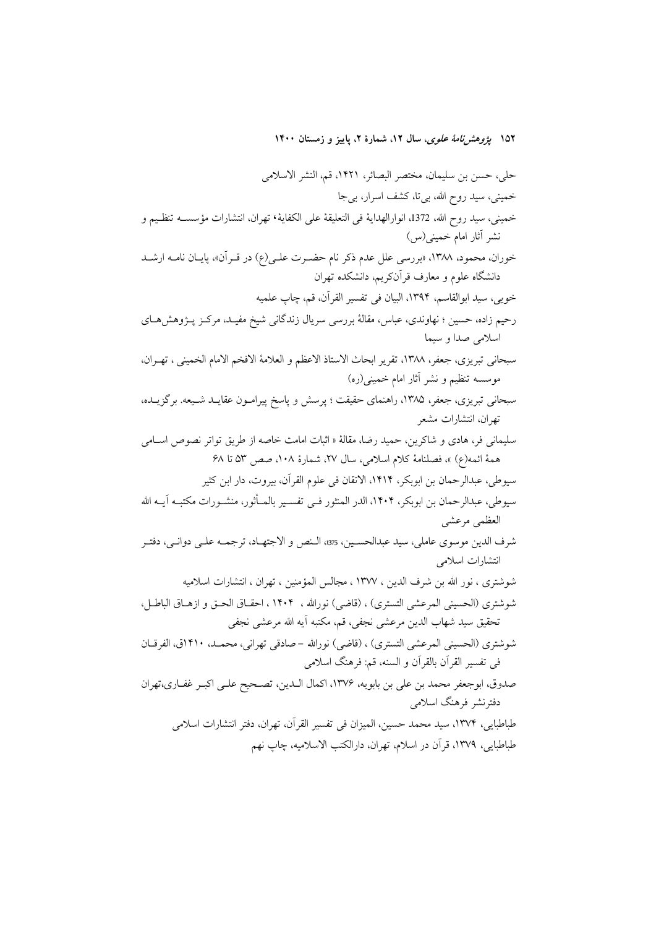۱۵۲ *یژوهشرنامهٔ علوی*، سال ۱۲، شمارهٔ ۲، پاییز و زمستان ۱۴۰۰

حلي، حسن بن سليمان، مختصر البصائر، ١۴٢١، قم، النشر الاسلامي خمینی، سید روح الله، بیتا، کشف اسرار، بیجا خميني، سيد روح الله، 1372، انوارالهداية في التعليقة على الكفاية٬ تهران، انتشارات مؤسســه تنظـيم و نشر آثار امام خمینی(س) خوران، محمود، ١٣٨٨، «بررسي علل عدم ذكر نام حضـرت علـي(ع) در قـرآن»، پايـان نامـه ارشـد دانشگاه علوم و معارف قرآنکریم، دانشکده تهران خويي، سيد ابوالقاسم، ١٣٩۴، البيان في تفسير القرآن، قم، چاپ علميه رحیم زاده، حسین ؛ نهاوندی، عباس، مقالهٔ بررسی سریال زندگانی شیخ مفیـد، مرکــز پــژوهشهـای اسلامي صدا و سيما سبحاني تبريزي، جعفر، ١٣٨٨، تقرير ابحاث الاستاذ الاعظم و العلامة الافخم الامام الخميني ، تهـران، موسسه تنظیم و نشر آثار امام خمینی(ره) سبحانی تبریزی، جعفر، ۱۳۸۵، راهنمای حقیقت ؛ پرسش و پاسخ پیرامـون عقایــد شـیعه. برگزیــده، تهران، انتشارات مشعر سليماني في، هادي و شاكرين، حميد رضا، مقالهٔ « اثبات امامت خاصه از طريق تواتر نصوص اســامي همةُ ائمه(ع) »، فصلنامة كلام اسلامي، سال ٢٧، شمارة ١٠٨، صص ٥٣ تا ۶٨ سيوطى، عبدالرحمان بن ابوبكر، ١۴١۴، الاتقان في علوم القرآن، بيروت، دار ابن كثير سيوطى، عبدالرحمان بن ابوبكر، ١۴٠۴، الدر المنثور فـي تفسـير بالمــأثور، منشــورات مكتبــه آيــه الله العظمى مرعشى شرف الدين موسوى عاملي، سيد عبدالحسـين، 375، الـنص و الاجتهـاد، ترجمــه علــي دوانــي، دفتـر انتشارات اسلامی شوشتري ، نور الله بن شرف الدين ، ١٣٧٧ ، مجالس المؤمنين ، تهران ، انتشارات اسلاميه شوشتري (الحسيني المرعشي التستري) ، (قاضي) نورالله ، ١۴٠۴ ، احقـاق الحـق و ازهـاق الباطـل، تحقيق سيد شهاب الدين مرعشي نجفي، قم، مكتبه آيه الله مرعشي نجفي شوشتري (الحسيني المرعشي التستري) ، (قاضي) نورالله –صادقي تهراني، محمـد، ١۴١٠ق، الفرقـان في تفسير القرآن بالقرآن و السنه، قم: فرهنگ اسلامي صدوق، ابوجعفر محمد بن علي بن بابويه، ١٣٧۶، اكمال الـدين، تصـحيح علـي اكبـر غفـاري،تهران دفترنشر فرهنگ اسلامی طباطبايي، ١٣٧۴، سيد محمد حسين، الميزان في تفسير القرآن، تهران، دفتر انتشارات اسلامي طباطبايي، ١٣٧٩، قرآن در اسلام، تهران، دارالكتب الاسلاميه، چاپ نهم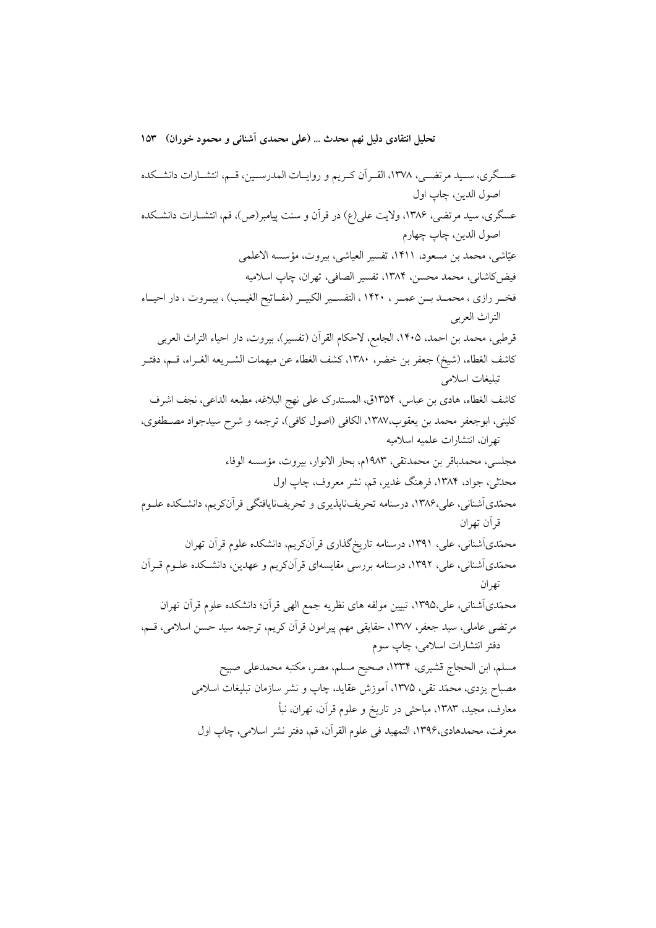تحليل انتقادي دليل نهم محدث … (علمي محمدي آشناني و محمود خوران) ١٥٣

عسـگري، سـيد مرتضـي، ١٣٧٨، القـراَن كـريم و روايـات المدرسـين، قـم، انتشـارات دانشـكده اصول الدين، چاپ اول عسگري، سيد مرتضي، ١٣٨۶، ولايت علي(ع) در قرآن و سنت پيامبر(ص)، قم، انتشــارات دانشــكده اصول الدين، چاپ چهارم عيّاشي، محمد بن مسعود، ١۴١١، تفسير العياشي، بيروت، مؤسسه الاعلمي فيض كاشاني، محمد محسن، ١٣٨۴، تفسير الصافي، تهران، چاپ اسلاميه فخـر رازي ، محمــد بــن عمــر ، ١۴٢٠ ، التفســير الكبيــر (مفــاتيح الغيــب) ، بيــروت ، دار احيــاء التراث العربي قرطبي، محمد بن احمد، ١۴٠۵، الجامع، لاحكام القرآن (تفسير)، بيروت، دار احياء التراث العربي كاشف الغطاء، (شيخ) جعفر بن خضر، ١٣٨٠، كشف الغطاء عن مبهمات الشـريعه الغـراء، قـم، دفتـر تبليغات اسلامي كاشف الغطاء، هادي بن عباس، ١٣٥۴ق، المستدرك على نهج البلاغه، مطبعه الداعي، نجف اشرف كليني، ابوجعفر محمد بن يعقوب،١٣٨٧، الكافي (اصول كافي)، ترجمه و شرح سيدجواد مصـطفوي، تهران، انتشارات علميه اسلاميه مجلسي، محمدباقر بن محمدتقي، ١٩٨٣م، بحار الانوار، بيروت، مؤسسه الوفاء محدّثی، جواد، ۱۳۸۴، فرهنگ غدیر، قم، نشر معروف، چاپ اول محمّدیآشنانی، علی،۱۳۸۶، درسنامه تحریفiایذیری و تحریفنایافتگی قرآنکریم، دانشکده علـوم قرآن تھران محمّدیآشنانی، علی، ۱۳۹۱، درسنامه تاریخگذاری قرآنکریم، دانشکده علوم قرآن تهران محمّدیآشنانی، علی، ۱۳۹۲، درسنامه بررسی مقایسهای قرآنکریم و عهدین، دانشـکده علــوم قــراَن تھر ان محمّدیآشنانی، علی،۱۳۹۵، تبیین مولفه های نظریه جمع الهی قرآن؛ دانشکده علوم قرآن تهران مرتضى عاملي، سيد جعفر، ١٣٧٧، حقايقى مهم پيرامون قرآن كريم، ترجمه سيد حسن اسلامي، قسم، دفتر انتشارات اسلامی، چاپ سوم مسلم، ابن الحجاج قشيري، ١٣٣٣، صحيح مسلم، مصر، مكتبه محمدعلى صبيح مصباح یزدی، محمّد تقی، ۱۳۷۵، آموزش عقاید، چاپ و نشر سازمان تبلیغات اسلامی معارف، مجید، ۱۳۸۳، مباحثی در تاریخ و علوم قرآن، تهران، نبأ معرفت، محمدهادي،١٣٩۶، التمهيد في علوم القرآن، قم، دفتر نشر اسلامي، چاپ اول